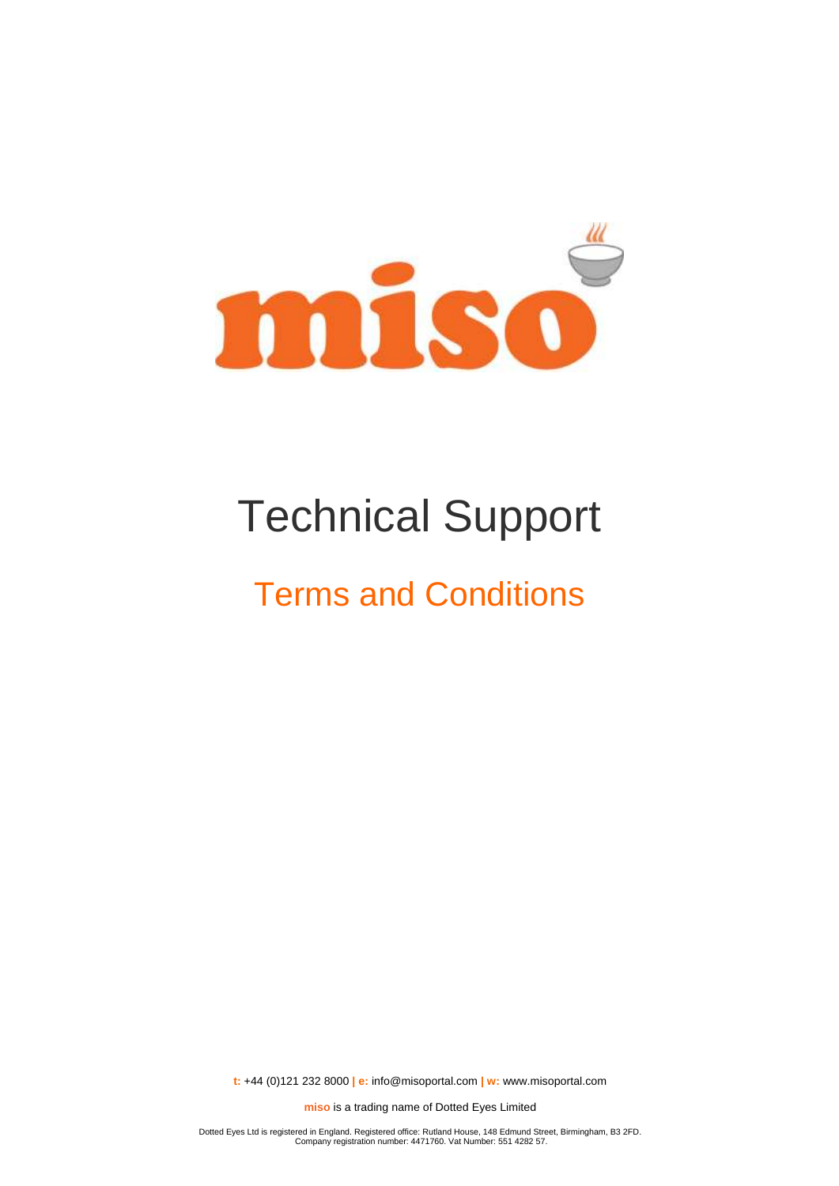

# Technical Support

## Terms and Conditions

**t:** +44 (0)121 232 8000 **| e:** [info@misoportal.com](mailto:info@misoportal.com) **| w:** [www.misoportal.com](http://www.misoportal.com/)

**miso** is a trading name of Dotted Eyes Limited

Dotted Eyes Ltd is registered in England. Registered office: Rutland House, 148 Edmund Street, Birmingham, B3 2FD. Company registration number: 4471760. Vat Number: 551 4282 57.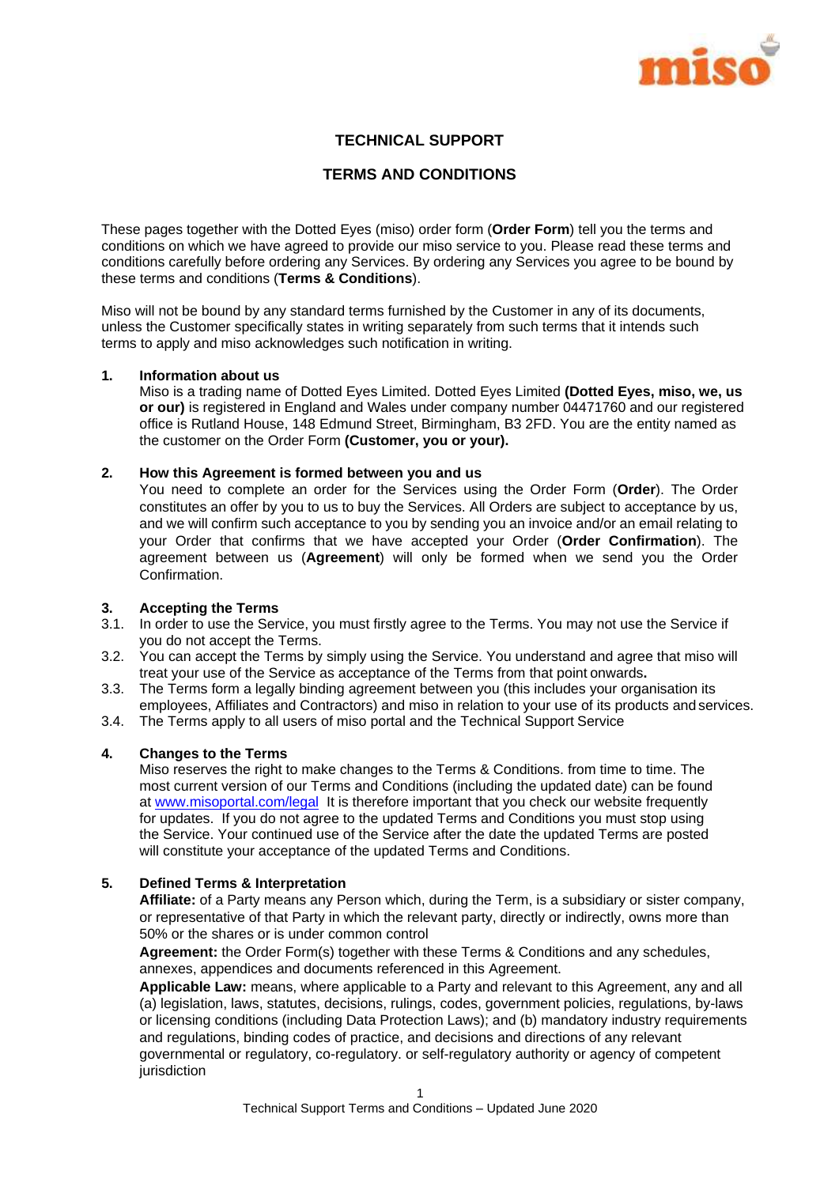

## **TECHNICAL SUPPORT**

## **TERMS AND CONDITIONS**

These pages together with the Dotted Eyes (miso) order form (**Order Form**) tell you the terms and conditions on which we have agreed to provide our miso service to you. Please read these terms and conditions carefully before ordering any Services. By ordering any Services you agree to be bound by these terms and conditions (**Terms & Conditions**).

Miso will not be bound by any standard terms furnished by the Customer in any of its documents, unless the Customer specifically states in writing separately from such terms that it intends such terms to apply and miso acknowledges such notification in writing.

#### **1. Information about us**

Miso is a trading name of Dotted Eyes Limited. Dotted Eyes Limited **(Dotted Eyes, miso, we, us or our)** is registered in England and Wales under company number 04471760 and our registered office is Rutland House, 148 Edmund Street, Birmingham, B3 2FD. You are the entity named as the customer on the Order Form **(Customer, you or your).**

#### **2. How this Agreement is formed between you and us**

You need to complete an order for the Services using the Order Form (**Order**). The Order constitutes an offer by you to us to buy the Services. All Orders are subject to acceptance by us, and we will confirm such acceptance to you by sending you an invoice and/or an email relating to your Order that confirms that we have accepted your Order (**Order Confirmation**). The agreement between us (**Agreement**) will only be formed when we send you the Order **Confirmation** 

## **3. Accepting the Terms**

- 3.1. In order to use the Service, you must firstly agree to the Terms. You may not use the Service if you do not accept the Terms.
- 3.2. You can accept the Terms by simply using the Service. You understand and agree that miso will treat your use of the Service as acceptance of the Terms from that point onwards**.**
- 3.3. The Terms form a legally binding agreement between you (this includes your organisation its employees. Affiliates and Contractors) and miso in relation to your use of its products and services.
- 3.4. The Terms apply to all users of miso portal and the Technical Support Service

## **4. Changes to the Terms**

Miso reserves the right to make changes to the Terms & Conditions. from time to time. The most current version of our Terms and Conditions (including the updated date) can be found at [www.misoportal.com/legal](http://www.misoportal.com/legal) It is therefore important that you check our website frequently for updates. If you do not agree to the updated Terms and Conditions you must stop using the Service. Your continued use of the Service after the date the updated Terms are posted will constitute your acceptance of the updated Terms and Conditions.

#### **5. Defined Terms & Interpretation**

**Affiliate:** of a Party means any Person which, during the Term, is a subsidiary or sister company, or representative of that Party in which the relevant party, directly or indirectly, owns more than 50% or the shares or is under common control

**Agreement:** the Order Form(s) together with these Terms & Conditions and any schedules, annexes, appendices and documents referenced in this Agreement.

**Applicable Law:** means, where applicable to a Party and relevant to this Agreement, any and all (a) legislation, laws, statutes, decisions, rulings, codes, government policies, regulations, by-laws or licensing conditions (including Data Protection Laws); and (b) mandatory industry requirements and regulations, binding codes of practice, and decisions and directions of any relevant governmental or regulatory, co-regulatory. or self-regulatory authority or agency of competent jurisdiction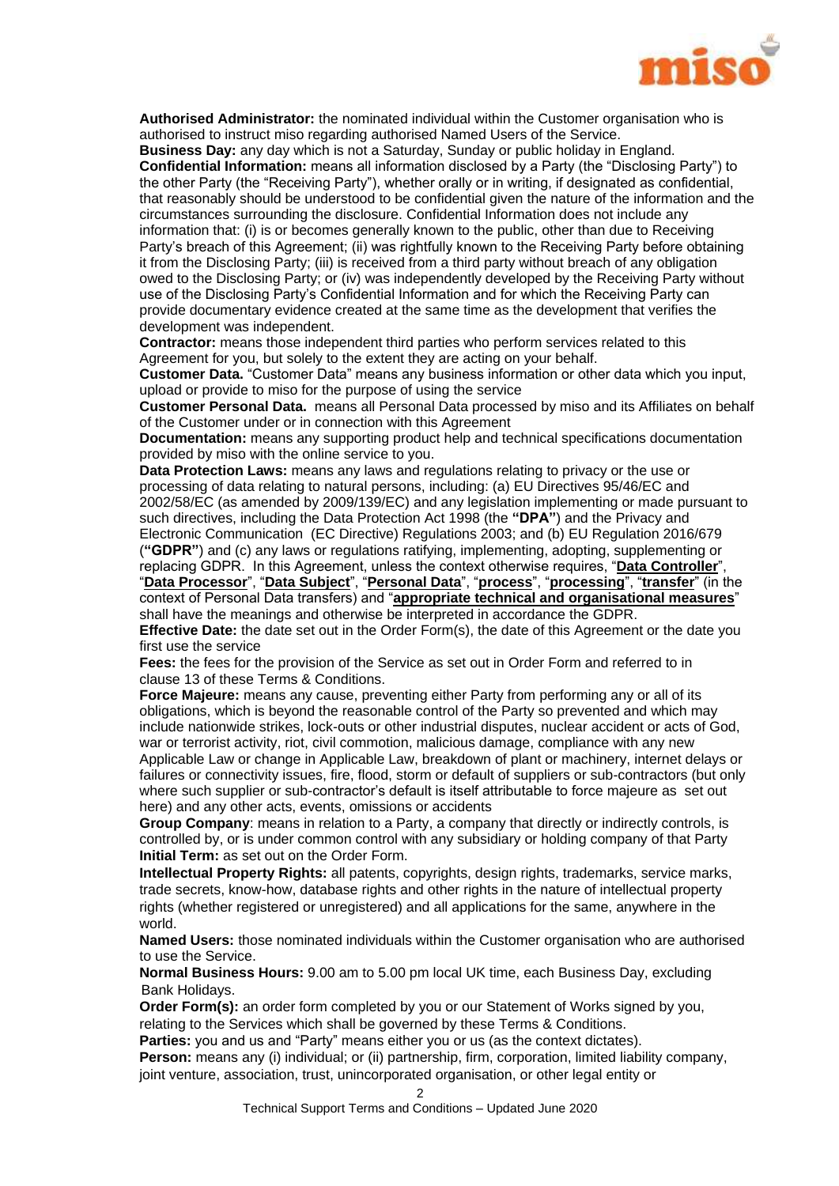

**Authorised Administrator:** the nominated individual within the Customer organisation who is authorised to instruct miso regarding authorised Named Users of the Service.

**Business Day:** any day which is not a Saturday, Sunday or public holiday in England. **Confidential Information:** means all information disclosed by a Party (the "Disclosing Party") to the other Party (the "Receiving Party"), whether orally or in writing, if designated as confidential, that reasonably should be understood to be confidential given the nature of the information and the circumstances surrounding the disclosure. Confidential Information does not include any information that: (i) is or becomes generally known to the public, other than due to Receiving Party's breach of this Agreement; (ii) was rightfully known to the Receiving Party before obtaining it from the Disclosing Party; (iii) is received from a third party without breach of any obligation owed to the Disclosing Party; or (iv) was independently developed by the Receiving Party without use of the Disclosing Party's Confidential Information and for which the Receiving Party can provide documentary evidence created at the same time as the development that verifies the development was independent.

**Contractor:** means those independent third parties who perform services related to this Agreement for you, but solely to the extent they are acting on your behalf.

**Customer Data.** "Customer Data" means any business information or other data which you input, upload or provide to miso for the purpose of using the service

**Customer Personal Data.** means all Personal Data processed by miso and its Affiliates on behalf of the Customer under or in connection with this Agreement

**Documentation:** means any supporting product help and technical specifications documentation provided by miso with the online service to you.

**Data Protection Laws:** means any laws and regulations relating to privacy or the use or processing of data relating to natural persons, including: (a) EU Directives 95/46/EC and 2002/58/EC (as amended by 2009/139/EC) and any legislation implementing or made pursuant to such directives, including the Data Protection Act 1998 (the **"DPA"**) and the Privacy and Electronic Communication (EC Directive) Regulations 2003; and (b) EU Regulation 2016/679 (**"GDPR"**) and (c) any laws or regulations ratifying, implementing, adopting, supplementing or replacing GDPR. In this Agreement, unless the context otherwise requires, "**Data Controller**", "**Data Processor**", "**Data Subject**", "**Personal Data**", "**process**", "**processing**", "**transfer**" (in the context of Personal Data transfers) and "**appropriate technical and organisational measures**" shall have the meanings and otherwise be interpreted in accordance the GDPR.

**Effective Date:** the date set out in the Order Form(s), the date of this Agreement or the date you first use the service

**Fees:** the fees for the provision of the Service as set out in Order Form and referred to in clause [13](#page-5-0) of these Terms & Conditions.

**Force Majeure:** means any cause, preventing either Party from performing any or all of its obligations, which is beyond the reasonable control of the Party so prevented and which may include nationwide strikes, lock-outs or other industrial disputes, nuclear accident or acts of God, war or terrorist activity, riot, civil commotion, malicious damage, compliance with any new Applicable Law or change in Applicable Law, breakdown of plant or machinery, internet delays or failures or connectivity issues, fire, flood, storm or default of suppliers or sub-contractors (but only where such supplier or sub-contractor's default is itself attributable to force majeure as set out here) and any other acts, events, omissions or accidents

**Group Company**: means in relation to a Party, a company that directly or indirectly controls, is controlled by, or is under common control with any subsidiary or holding company of that Party **Initial Term:** as set out on the Order Form.

**Intellectual Property Rights:** all patents, copyrights, design rights, trademarks, service marks, trade secrets, know-how, database rights and other rights in the nature of intellectual property rights (whether registered or unregistered) and all applications for the same, anywhere in the world.

**Named Users:** those nominated individuals within the Customer organisation who are authorised to use the Service.

**Normal Business Hours:** 9.00 am to 5.00 pm local UK time, each Business Day, excluding Bank Holidays.

**Order Form(s):** an order form completed by you or our Statement of Works signed by you, relating to the Services which shall be governed by these Terms & Conditions.

**Parties:** you and us and "Party" means either you or us (as the context dictates).

**Person:** means any (i) individual; or (ii) partnership, firm, corporation, limited liability company, joint venture, association, trust, unincorporated organisation, or other legal entity or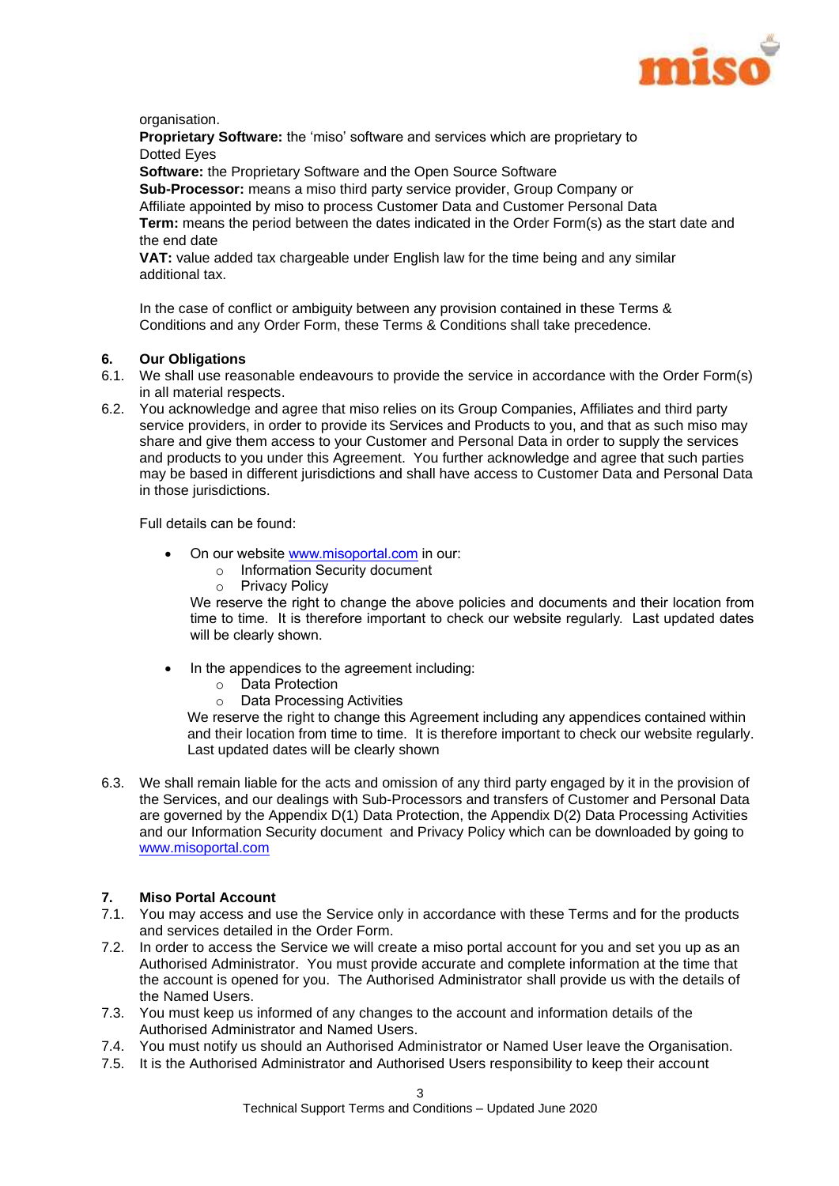

organisation.

**Proprietary Software:** the 'miso' software and services which are proprietary to Dotted Eyes

**Software:** the Proprietary Software and the Open Source Software

**Sub-Processor:** means a miso third party service provider, Group Company or Affiliate appointed by miso to process Customer Data and Customer Personal Data **Term:** means the period between the dates indicated in the Order Form(s) as the start date and the end date

**VAT:** value added tax chargeable under English law for the time being and any similar additional tax.

In the case of conflict or ambiguity between any provision contained in these Terms & Conditions and any Order Form, these Terms & Conditions shall take precedence.

## **6. Our Obligations**

- 6.1. We shall use reasonable endeavours to provide the service in accordance with the Order Form(s) in all material respects.
- 6.2. You acknowledge and agree that miso relies on its Group Companies, Affiliates and third party service providers, in order to provide its Services and Products to you, and that as such miso may share and give them access to your Customer and Personal Data in order to supply the services and products to you under this Agreement. You further acknowledge and agree that such parties may be based in different jurisdictions and shall have access to Customer Data and Personal Data in those jurisdictions.

Full details can be found:

- On our website www.misoportal.com in our:
	- o Information Security document
	- o Privacy Policy

We reserve the right to change the above policies and documents and their location from time to time. It is therefore important to check our website regularly. Last updated dates will be clearly shown.

- In the appendices to the agreement including:
	- o Data Protection
	- o Data Processing Activities

We reserve the right to change this Agreement including any appendices contained within and their location from time to time. It is therefore important to check our website regularly. Last updated dates will be clearly shown

6.3. We shall remain liable for the acts and omission of any third party engaged by it in the provision of the Services, and our dealings with Sub-Processors and transfers of Customer and Personal Data are governed by the Appendix D(1) Data Protection, the Appendix D(2) Data Processing Activities and our Information Security document and Privacy Policy which can be downloaded by going to www.misoportal.com

## **7. Miso Portal Account**

- 7.1. You may access and use the Service only in accordance with these Terms and for the products and services detailed in the Order Form.
- 7.2. In order to access the Service we will create a miso portal account for you and set you up as an Authorised Administrator. You must provide accurate and complete information at the time that the account is opened for you. The Authorised Administrator shall provide us with the details of the Named Users.
- 7.3. You must keep us informed of any changes to the account and information details of the Authorised Administrator and Named Users.
- 7.4. You must notify us should an Authorised Administrator or Named User leave the Organisation.
- 7.5. It is the Authorised Administrator and Authorised Users responsibility to keep their account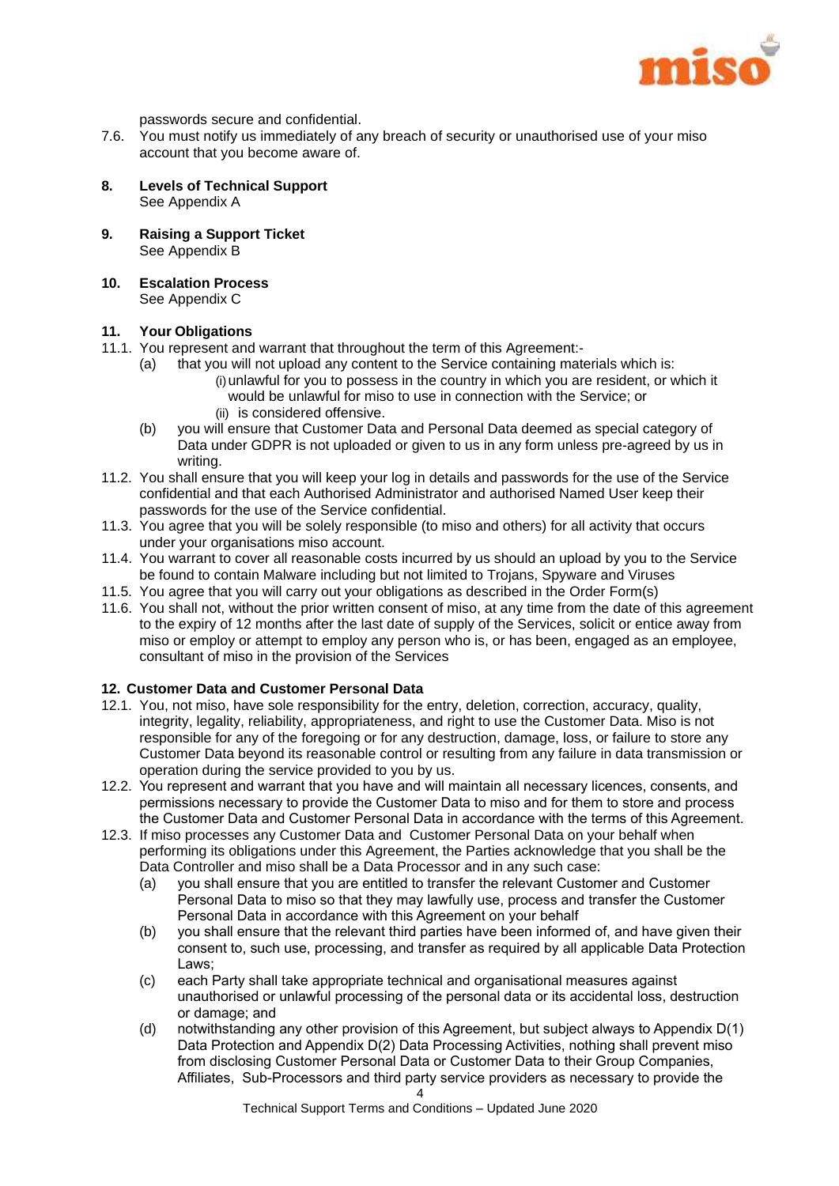

passwords secure and confidential.

- 7.6. You must notify us immediately of any breach of security or unauthorised use of your miso account that you become aware of.
- **8. Levels of Technical Support** See Appendix A
- **9. Raising a Support Ticket** See Appendix B
- **10. Escalation Process** See Appendix C

## <span id="page-4-0"></span>**11. Your Obligations**

- 11.1. You represent and warrant that throughout the term of this Agreement:-
	- (a) that you will not upload any content to the Service containing materials which is:  $(i)$  unlawful for you to possess in the country in which you are resident, or which it would be unlawful for miso to use in connection with the Service; or (ii) is considered offensive.
	- (b) you will ensure that Customer Data and Personal Data deemed as special category of Data under GDPR is not uploaded or given to us in any form unless pre-agreed by us in writing.
- 11.2. You shall ensure that you will keep your log in details and passwords for the use of the Service confidential and that each Authorised Administrator and authorised Named User keep their passwords for the use of the Service confidential.
- 11.3. You agree that you will be solely responsible (to miso and others) for all activity that occurs under your organisations miso account.
- 11.4. You warrant to cover all reasonable costs incurred by us should an upload by you to the Service be found to contain Malware including but not limited to Trojans, Spyware and Viruses
- 11.5. You agree that you will carry out your obligations as described in the Order Form(s)
- 11.6. You shall not, without the prior written consent of miso, at any time from the date of this agreement to the expiry of 12 months after the last date of supply of the Services, solicit or entice away from miso or employ or attempt to employ any person who is, or has been, engaged as an employee, consultant of miso in the provision of the Services

## <span id="page-4-1"></span>**12. Customer Data and Customer Personal Data**

- 12.1. You, not miso, have sole responsibility for the entry, deletion, correction, accuracy, quality, integrity, legality, reliability, appropriateness, and right to use the Customer Data. Miso is not responsible for any of the foregoing or for any destruction, damage, loss, or failure to store any Customer Data beyond its reasonable control or resulting from any failure in data transmission or operation during the service provided to you by us.
- 12.2. You represent and warrant that you have and will maintain all necessary licences, consents, and permissions necessary to provide the Customer Data to miso and for them to store and process the Customer Data and Customer Personal Data in accordance with the terms of this Agreement.
- 12.3. If miso processes any Customer Data and Customer Personal Data on your behalf when performing its obligations under this Agreement, the Parties acknowledge that you shall be the Data Controller and miso shall be a Data Processor and in any such case:
	- (a) you shall ensure that you are entitled to transfer the relevant Customer and Customer Personal Data to miso so that they may lawfully use, process and transfer the Customer Personal Data in accordance with this Agreement on your behalf
	- (b) you shall ensure that the relevant third parties have been informed of, and have given their consent to, such use, processing, and transfer as required by all applicable Data Protection Laws;
	- (c) each Party shall take appropriate technical and organisational measures against unauthorised or unlawful processing of the personal data or its accidental loss, destruction or damage; and
	- (d) notwithstanding any other provision of this Agreement, but subject always to Appendix D(1) Data Protection and Appendix D(2) Data Processing Activities, nothing shall prevent miso from disclosing Customer Personal Data or Customer Data to their Group Companies, Affiliates, Sub-Processors and third party service providers as necessary to provide the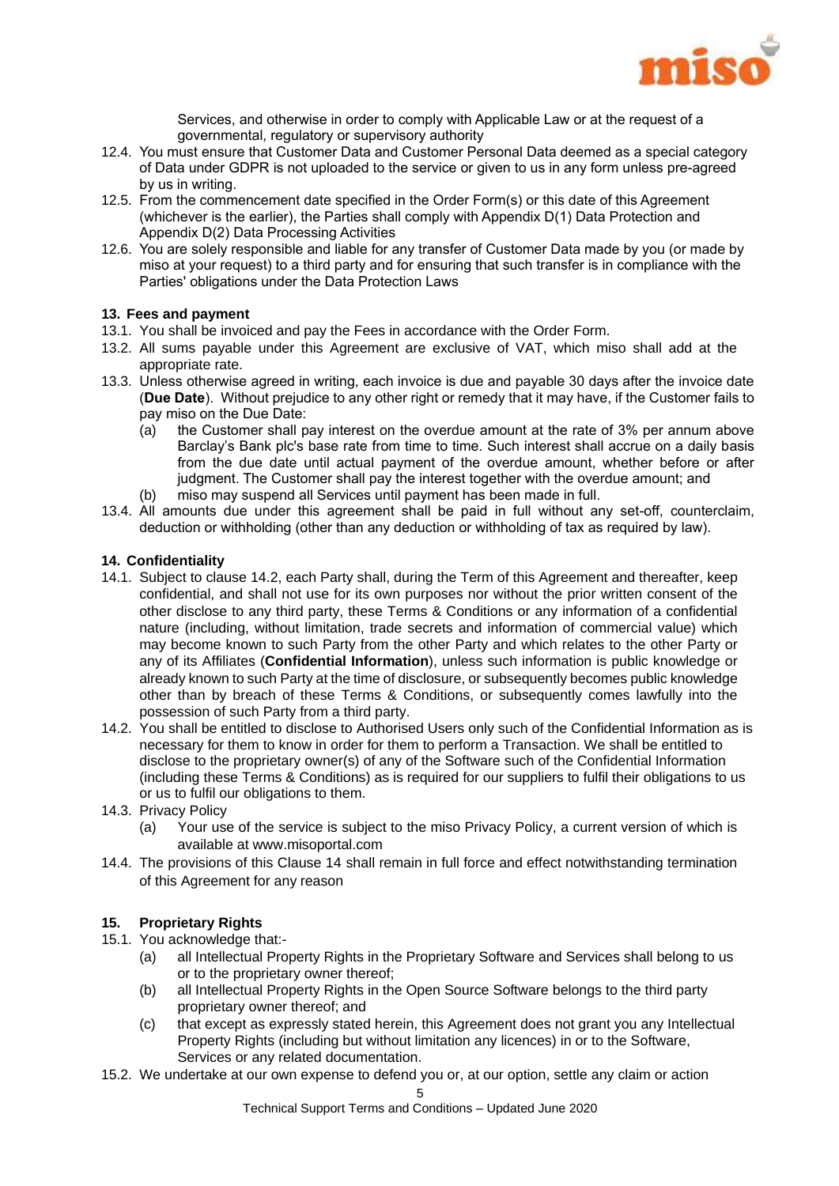

Services, and otherwise in order to comply with Applicable Law or at the request of a governmental, regulatory or supervisory authority

- 12.4. You must ensure that Customer Data and Customer Personal Data deemed as a special category of Data under GDPR is not uploaded to the service or given to us in any form unless pre-agreed by us in writing.
- 12.5. From the commencement date specified in the Order Form(s) or this date of this Agreement (whichever is the earlier), the Parties shall comply with Appendix D(1) Data Protection and Appendix D(2) Data Processing Activities
- 12.6. You are solely responsible and liable for any transfer of Customer Data made by you (or made by miso at your request) to a third party and for ensuring that such transfer is in compliance with the Parties' obligations under the Data Protection Laws

## <span id="page-5-0"></span>**13. Fees and payment**

- 13.1. You shall be invoiced and pay the Fees in accordance with the Order Form.
- 13.2. All sums payable under this Agreement are exclusive of VAT, which miso shall add at the appropriate rate.
- 13.3. Unless otherwise agreed in writing, each invoice is due and payable 30 days after the invoice date (**Due Date**). Without prejudice to any other right or remedy that it may have, if the Customer fails to pay miso on the Due Date:
	- (a) the Customer shall pay interest on the overdue amount at the rate of 3% per annum above Barclay's Bank plc's base rate from time to time. Such interest shall accrue on a daily basis from the due date until actual payment of the overdue amount, whether before or after judgment. The Customer shall pay the interest together with the overdue amount; and
	- (b) miso may suspend all Services until payment has been made in full.
- 13.4. All amounts due under this agreement shall be paid in full without any set-off, counterclaim, deduction or withholding (other than any deduction or withholding of tax as required by law).

#### <span id="page-5-2"></span>**14. Confidentiality**

- 14.1. Subject to clause [14.2, e](#page-5-1)ach Party shall, during the Term of this Agreement and thereafter, keep confidential, and shall not use for its own purposes nor without the prior written consent of the other disclose to any third party, these Terms & Conditions or any information of a confidential nature (including, without limitation, trade secrets and information of commercial value) which may become known to such Party from the other Party and which relates to the other Party or any of its Affiliates (**Confidential Information**), unless such information is public knowledge or already known to such Party at the time of disclosure, or subsequently becomes public knowledge other than by breach of these Terms & Conditions, or subsequently comes lawfully into the possession of such Party from a third party.
- <span id="page-5-1"></span>14.2. You shall be entitled to disclose to Authorised Users only such of the Confidential Information as is necessary for them to know in order for them to perform a Transaction. We shall be entitled to disclose to the proprietary owner(s) of any of the Software such of the Confidential Information (including these Terms & Conditions) as is required for our suppliers to fulfil their obligations to us or us to fulfil our obligations to them.
- 14.3. Privacy Policy
	- (a) Your use of the service is subject to the miso Privacy Policy, a current version of which is available at www.misoportal.com
- 14.4. The provisions of this Clause [14](#page-5-2) shall remain in full force and effect notwithstanding termination of this Agreement for any reason

## **15. Proprietary Rights**

- 15.1. You acknowledge that:-
	- (a) all Intellectual Property Rights in the Proprietary Software and Services shall belong to us or to the proprietary owner thereof;
	- (b) all Intellectual Property Rights in the Open Source Software belongs to the third party proprietary owner thereof; and
	- (c) that except as expressly stated herein, this Agreement does not grant you any Intellectual Property Rights (including but without limitation any licences) in or to the Software, Services or any related documentation.
- <span id="page-5-3"></span>15.2. We undertake at our own expense to defend you or, at our option, settle any claim or action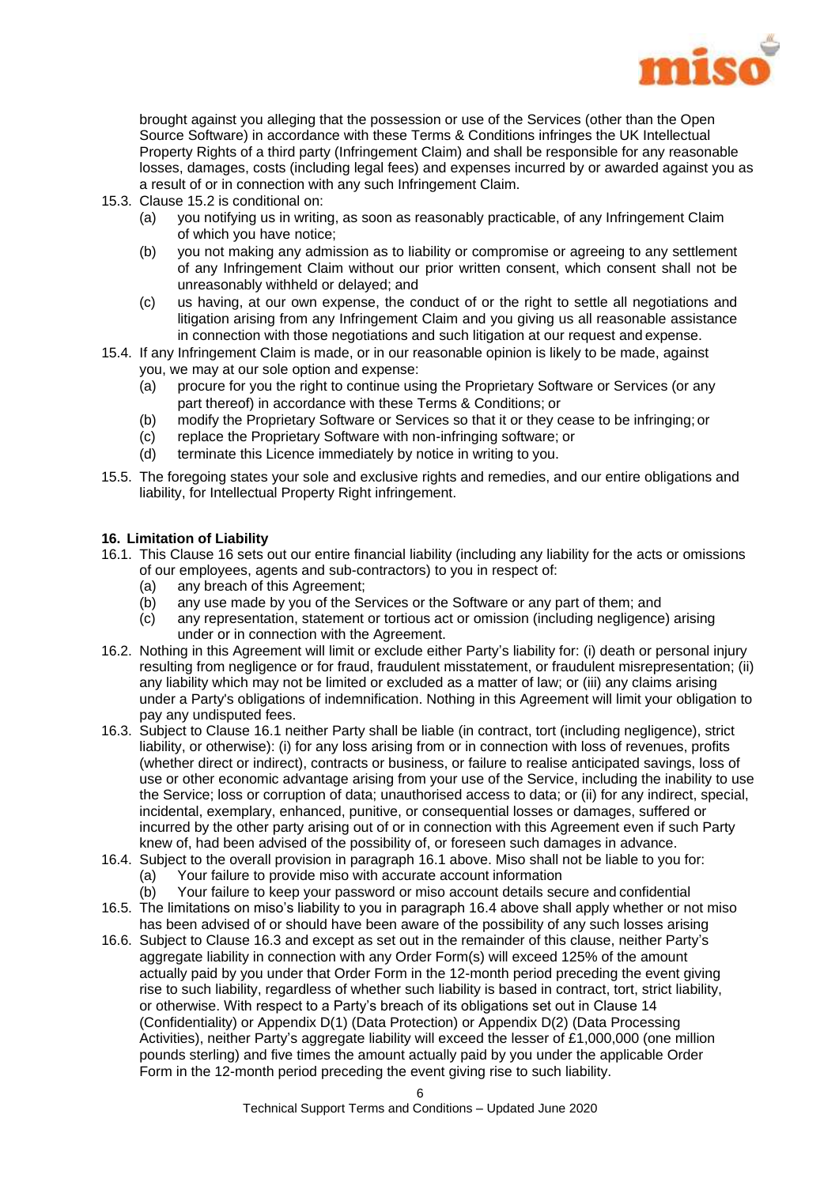

brought against you alleging that the possession or use of the Services (other than the Open Source Software) in accordance with these Terms & Conditions infringes the UK Intellectual Property Rights of a third party (Infringement Claim) and shall be responsible for any reasonable losses, damages, costs (including legal fees) and expenses incurred by or awarded against you as a result of or in connection with any such Infringement Claim.

- 15.3. Clause [15.2](#page-5-3) is conditional on:
	- (a) you notifying us in writing, as soon as reasonably practicable, of any Infringement Claim of which you have notice;
	- (b) you not making any admission as to liability or compromise or agreeing to any settlement of any Infringement Claim without our prior written consent, which consent shall not be unreasonably withheld or delayed; and
	- (c) us having, at our own expense, the conduct of or the right to settle all negotiations and litigation arising from any Infringement Claim and you giving us all reasonable assistance in connection with those negotiations and such litigation at our request and expense.
- 15.4. If any Infringement Claim is made, or in our reasonable opinion is likely to be made, against you, we may at our sole option and expense:
	- (a) procure for you the right to continue using the Proprietary Software or Services (or any part thereof) in accordance with these Terms & Conditions; or
	- (b) modify the Proprietary Software or Services so that it or they cease to be infringing; or
	- (c) replace the Proprietary Software with non-infringing software; or
	- (d) terminate this Licence immediately by notice in writing to you.
- 15.5. The foregoing states your sole and exclusive rights and remedies, and our entire obligations and liability, for Intellectual Property Right infringement.

## <span id="page-6-0"></span>**16. Limitation of Liability**

- <span id="page-6-1"></span>16.1. This Clause [16](#page-6-0) sets out our entire financial liability (including any liability for the acts or omissions of our employees, agents and sub-contractors) to you in respect of:
	- (a) any breach of this Agreement;
	- (b) any use made by you of the Services or the Software or any part of them; and
	- (c) any representation, statement or tortious act or omission (including negligence) arising under or in connection with the Agreement.
- 16.2. Nothing in this Agreement will limit or exclude either Party's liability for: (i) death or personal injury resulting from negligence or for fraud, fraudulent misstatement, or fraudulent misrepresentation; (ii) any liability which may not be limited or excluded as a matter of law; or (iii) any claims arising under a Party's obligations of indemnification. Nothing in this Agreement will limit your obligation to pay any undisputed fees.
- <span id="page-6-3"></span>16.3. Subject to Clause [16.1](#page-6-1) neither Party shall be liable (in contract, tort (including negligence), strict liability, or otherwise): (i) for any loss arising from or in connection with loss of revenues, profits (whether direct or indirect), contracts or business, or failure to realise anticipated savings, loss of use or other economic advantage arising from your use of the Service, including the inability to use the Service; loss or corruption of data; unauthorised access to data; or (ii) for any indirect, special, incidental, exemplary, enhanced, punitive, or consequential losses or damages, suffered or incurred by the other party arising out of or in connection with this Agreement even if such Party knew of, had been advised of the possibility of, or foreseen such damages in advance.
- <span id="page-6-2"></span>16.4. Subject to the overall provision in paragraph [16.1](#page-6-1) above. Miso shall not be liable to you for:
	- (a) Your failure to provide miso with accurate account information
	- (b) Your failure to keep your password or miso account details secure and confidential
- 16.5. The limitations on miso's liability to you in paragraph [16.4](#page-6-2) above shall apply whether or not miso has been advised of or should have been aware of the possibility of any such losses arising
- 16.6. Subject to Clause [16.3](#page-6-3) and except as set out in the remainder of this clause, neither Party's aggregate liability in connection with any Order Form(s) will exceed 125% of the amount actually paid by you under that Order Form in the 12-month period preceding the event giving rise to such liability, regardless of whether such liability is based in contract, tort, strict liability, or otherwise. With respect to a Party's breach of its obligations set out in Clause [14](#page-5-2) (Confidentiality) or Appendix D(1) (Data Protection) or Appendix D(2) (Data Processing Activities), neither Party's aggregate liability will exceed the lesser of £1,000,000 (one million pounds sterling) and five times the amount actually paid by you under the applicable Order Form in the 12-month period preceding the event giving rise to such liability.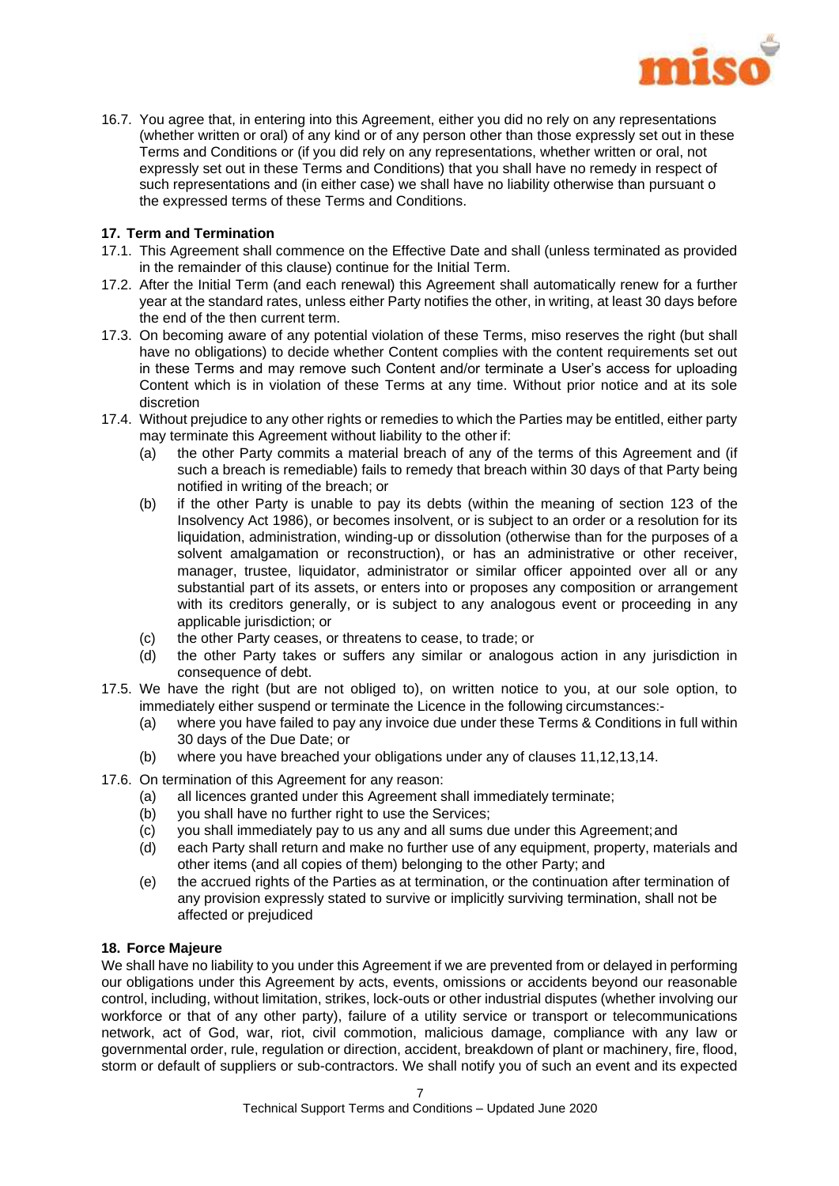

16.7. You agree that, in entering into this Agreement, either you did no rely on any representations (whether written or oral) of any kind or of any person other than those expressly set out in these Terms and Conditions or (if you did rely on any representations, whether written or oral, not expressly set out in these Terms and Conditions) that you shall have no remedy in respect of such representations and (in either case) we shall have no liability otherwise than pursuant o the expressed terms of these Terms and Conditions.

## **17. Term and Termination**

- 17.1. This Agreement shall commence on the Effective Date and shall (unless terminated as provided in the remainder of this clause) continue for the Initial Term.
- 17.2. After the Initial Term (and each renewal) this Agreement shall automatically renew for a further year at the standard rates, unless either Party notifies the other, in writing, at least 30 days before the end of the then current term.
- 17.3. On becoming aware of any potential violation of these Terms, miso reserves the right (but shall have no obligations) to decide whether Content complies with the content requirements set out in these Terms and may remove such Content and/or terminate a User's access for uploading Content which is in violation of these Terms at any time. Without prior notice and at its sole discretion
- 17.4. Without prejudice to any other rights or remedies to which the Parties may be entitled, either party may terminate this Agreement without liability to the other if:
	- (a) the other Party commits a material breach of any of the terms of this Agreement and (if such a breach is remediable) fails to remedy that breach within 30 days of that Party being notified in writing of the breach; or
	- (b) if the other Party is unable to pay its debts (within the meaning of section 123 of the Insolvency Act 1986), or becomes insolvent, or is subject to an order or a resolution for its liquidation, administration, winding-up or dissolution (otherwise than for the purposes of a solvent amalgamation or reconstruction), or has an administrative or other receiver, manager, trustee, liquidator, administrator or similar officer appointed over all or any substantial part of its assets, or enters into or proposes any composition or arrangement with its creditors generally, or is subject to any analogous event or proceeding in any applicable jurisdiction; or
	- (c) the other Party ceases, or threatens to cease, to trade; or
	- (d) the other Party takes or suffers any similar or analogous action in any jurisdiction in consequence of debt.
- 17.5. We have the right (but are not obliged to), on written notice to you, at our sole option, to immediately either suspend or terminate the Licence in the following circumstances:-
	- (a) where you have failed to pay any invoice due under these Terms & Conditions in full within 30 days of the Due Date; or
	- (b) where you have breached your obligations under any of clauses [11](#page-4-0)[,12](#page-4-1)[,13](#page-5-0)[,14.](#page-5-2)
- 17.6. On termination of this Agreement for any reason:
	- (a) all licences granted under this Agreement shall immediately terminate;
	- (b) you shall have no further right to use the Services;
	- (c) you shall immediately pay to us any and all sums due under this Agreement;and
	- (d) each Party shall return and make no further use of any equipment, property, materials and other items (and all copies of them) belonging to the other Party; and
	- (e) the accrued rights of the Parties as at termination, or the continuation after termination of any provision expressly stated to survive or implicitly surviving termination, shall not be affected or prejudiced

## **18. Force Majeure**

We shall have no liability to you under this Agreement if we are prevented from or delayed in performing our obligations under this Agreement by acts, events, omissions or accidents beyond our reasonable control, including, without limitation, strikes, lock-outs or other industrial disputes (whether involving our workforce or that of any other party), failure of a utility service or transport or telecommunications network, act of God, war, riot, civil commotion, malicious damage, compliance with any law or governmental order, rule, regulation or direction, accident, breakdown of plant or machinery, fire, flood, storm or default of suppliers or sub-contractors. We shall notify you of such an event and its expected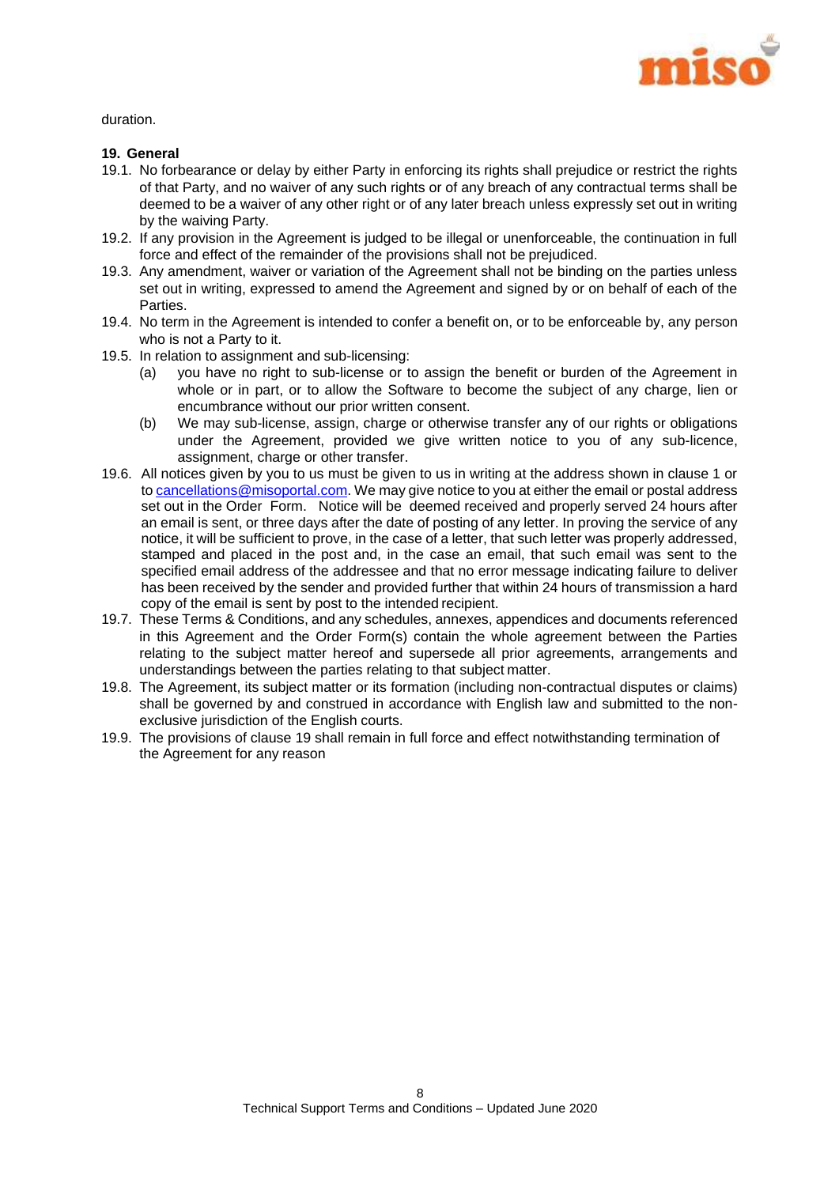

duration.

## <span id="page-8-0"></span>**19. General**

- 19.1. No forbearance or delay by either Party in enforcing its rights shall prejudice or restrict the rights of that Party, and no waiver of any such rights or of any breach of any contractual terms shall be deemed to be a waiver of any other right or of any later breach unless expressly set out in writing by the waiving Party.
- 19.2. If any provision in the Agreement is judged to be illegal or unenforceable, the continuation in full force and effect of the remainder of the provisions shall not be prejudiced.
- 19.3. Any amendment, waiver or variation of the Agreement shall not be binding on the parties unless set out in writing, expressed to amend the Agreement and signed by or on behalf of each of the Parties.
- 19.4. No term in the Agreement is intended to confer a benefit on, or to be enforceable by, any person who is not a Party to it.
- 19.5. In relation to assignment and sub-licensing:
	- (a) you have no right to sub-license or to assign the benefit or burden of the Agreement in whole or in part, or to allow the Software to become the subject of any charge, lien or encumbrance without our prior written consent.
	- (b) We may sub-license, assign, charge or otherwise transfer any of our rights or obligations under the Agreement, provided we give written notice to you of any sub-licence, assignment, charge or other transfer.
- 19.6. All notices given by you to us must be given to us in writing at the address shown in clause 1 or to [cancellations@misoportal.com.](mailto:cancellations@misoportal.com) We may give notice to you at either the email or postal address set out in the Order Form. Notice will be deemed received and properly served 24 hours after an email is sent, or three days after the date of posting of any letter. In proving the service of any notice, it will be sufficient to prove, in the case of a letter, that such letter was properly addressed, stamped and placed in the post and, in the case an email, that such email was sent to the specified email address of the addressee and that no error message indicating failure to deliver has been received by the sender and provided further that within 24 hours of transmission a hard copy of the email is sent by post to the intended recipient.
- 19.7. These Terms & Conditions, and any schedules, annexes, appendices and documents referenced in this Agreement and the Order Form(s) contain the whole agreement between the Parties relating to the subject matter hereof and supersede all prior agreements, arrangements and understandings between the parties relating to that subject matter.
- 19.8. The Agreement, its subject matter or its formation (including non-contractual disputes or claims) shall be governed by and construed in accordance with English law and submitted to the nonexclusive jurisdiction of the English courts.
- 19.9. The provisions of clause [19](#page-8-0) shall remain in full force and effect notwithstanding termination of the Agreement for any reason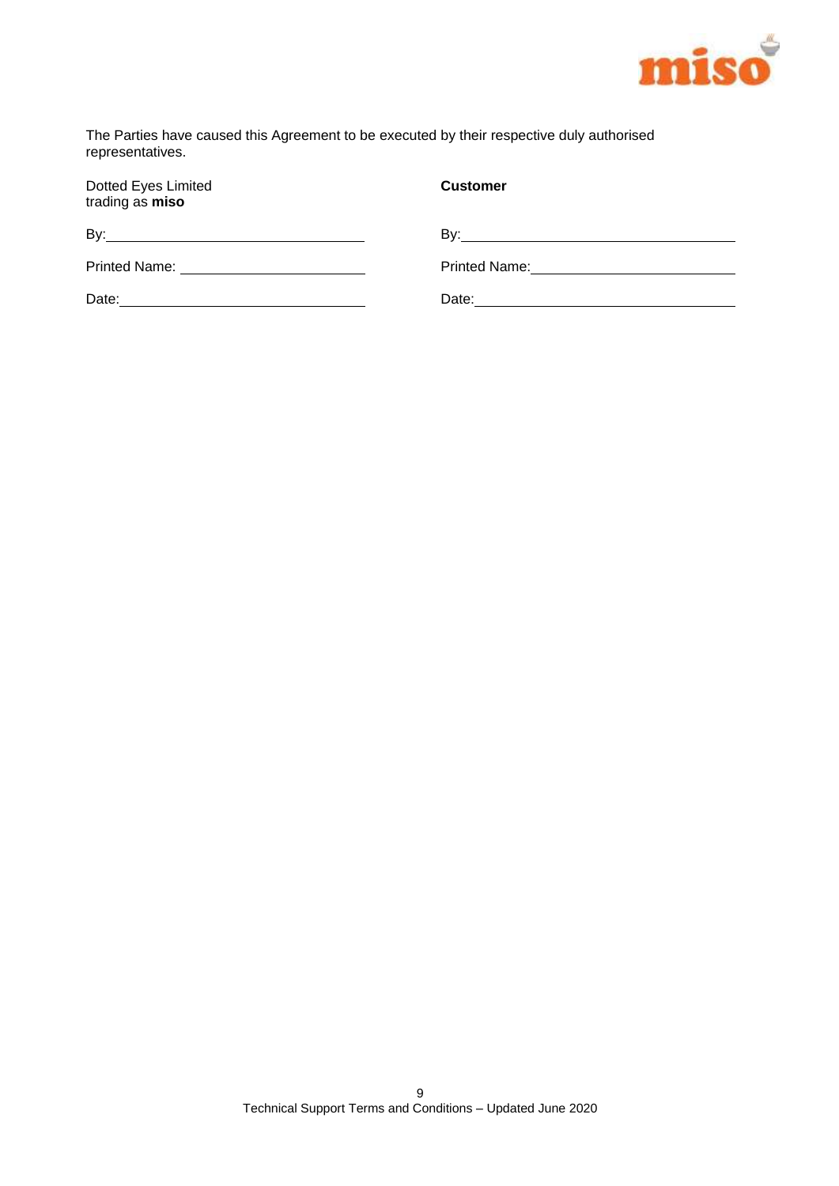

The Parties have caused this Agreement to be executed by their respective duly authorised representatives.

| Dotted Eyes Limited<br>trading as miso | <b>Customer</b> |
|----------------------------------------|-----------------|
|                                        |                 |
|                                        |                 |
|                                        |                 |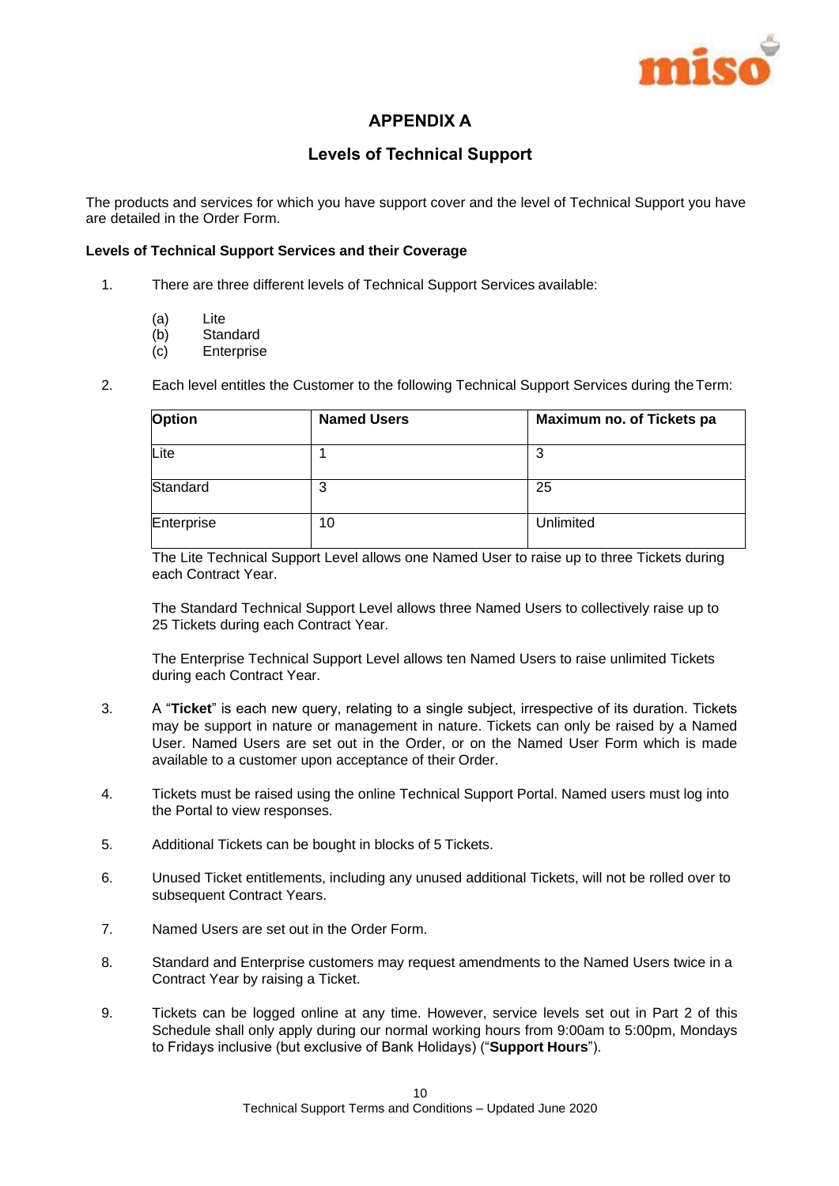

## **APPENDIX A**

## **Levels of Technical Support**

The products and services for which you have support cover and the level of Technical Support you have are detailed in the Order Form.

## **Levels of Technical Support Services and their Coverage**

- 1. There are three different levels of Technical Support Services available:
	- (a) Lite
	- (b) Standard
	- (c) Enterprise
- 2. Each level entitles the Customer to the following Technical Support Services during theTerm:

| <b>Option</b> | <b>Named Users</b> | Maximum no. of Tickets pa |
|---------------|--------------------|---------------------------|
| Lite          |                    | 3                         |
| Standard      | 3                  | 25                        |
| Enterprise    | 10                 | Unlimited                 |

The Lite Technical Support Level allows one Named User to raise up to three Tickets during each Contract Year.

The Standard Technical Support Level allows three Named Users to collectively raise up to 25 Tickets during each Contract Year.

The Enterprise Technical Support Level allows ten Named Users to raise unlimited Tickets during each Contract Year.

- 3. A "**Ticket**" is each new query, relating to a single subject, irrespective of its duration. Tickets may be support in nature or management in nature. Tickets can only be raised by a Named User. Named Users are set out in the Order, or on the Named User Form which is made available to a customer upon acceptance of their Order.
- 4. Tickets must be raised using the online Technical Support Portal. Named users must log into the Portal to view responses.
- 5. Additional Tickets can be bought in blocks of 5 Tickets.
- 6. Unused Ticket entitlements, including any unused additional Tickets, will not be rolled over to subsequent Contract Years.
- 7. Named Users are set out in the Order Form.
- 8. Standard and Enterprise customers may request amendments to the Named Users twice in a Contract Year by raising a Ticket.
- 9. Tickets can be logged online at any time. However, service levels set out in Part 2 of this Schedule shall only apply during our normal working hours from 9:00am to 5:00pm, Mondays to Fridays inclusive (but exclusive of Bank Holidays) ("**Support Hours**").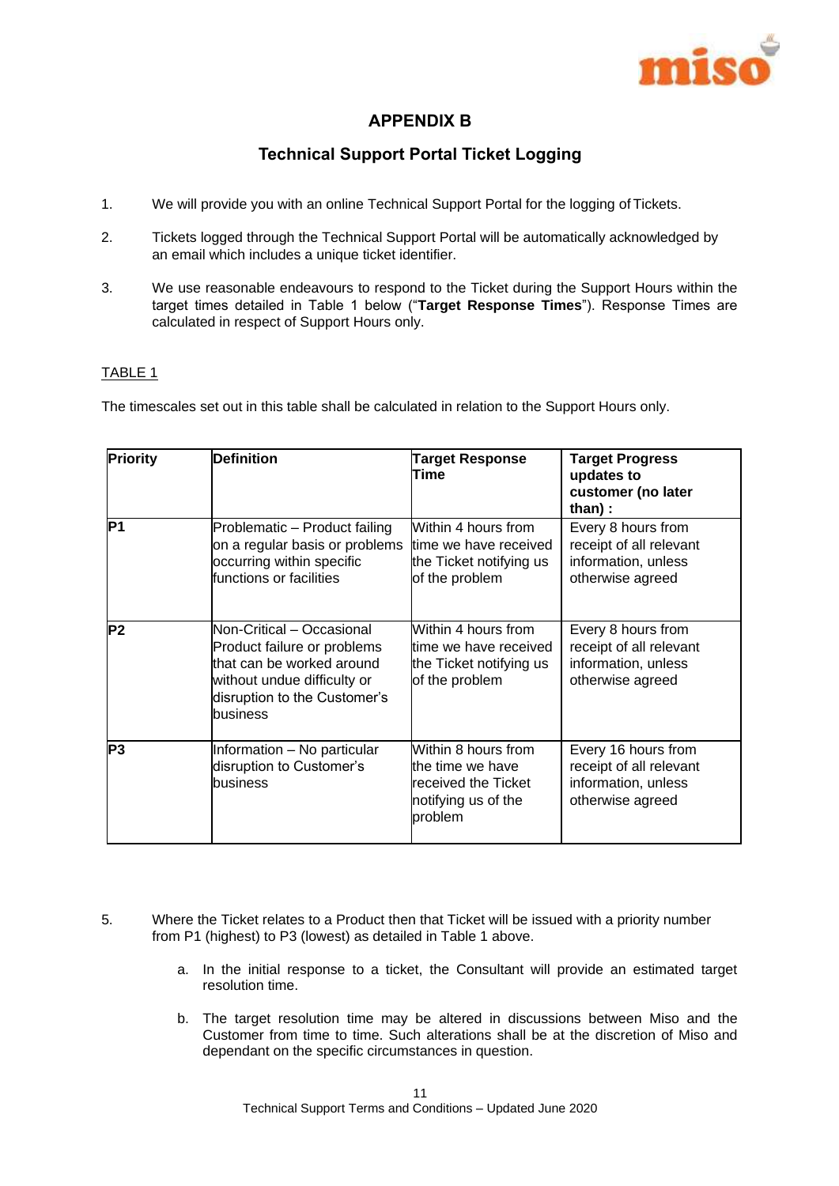

## **APPENDIX B**

## **Technical Support Portal Ticket Logging**

- 1. We will provide you with an online Technical Support Portal for the logging of Tickets.
- 2. Tickets logged through the Technical Support Portal will be automatically acknowledged by an email which includes a unique ticket identifier.
- 3. We use reasonable endeavours to respond to the Ticket during the Support Hours within the target times detailed in Table 1 below ("**Target Response Times**"). Response Times are calculated in respect of Support Hours only.

## TABLE 1

The timescales set out in this table shall be calculated in relation to the Support Hours only.

| <b>Priority</b> | <b>Definition</b>                                                                                                                                                | <b>Target Response</b><br>Time                                                                   | <b>Target Progress</b><br>updates to<br>customer (no later<br>than):                      |
|-----------------|------------------------------------------------------------------------------------------------------------------------------------------------------------------|--------------------------------------------------------------------------------------------------|-------------------------------------------------------------------------------------------|
| P1              | Problematic – Product failing<br>on a regular basis or problems<br>occurring within specific<br>functions or facilities                                          | Within 4 hours from<br>time we have received<br>the Ticket notifying us<br>of the problem        | Every 8 hours from<br>receipt of all relevant<br>information, unless<br>otherwise agreed  |
| P2              | Non-Critical - Occasional<br>Product failure or problems<br>that can be worked around<br>without undue difficulty or<br>disruption to the Customer's<br>business | Within 4 hours from<br>time we have received<br>the Ticket notifying us<br>of the problem        | Every 8 hours from<br>receipt of all relevant<br>information, unless<br>otherwise agreed  |
| P3              | Information - No particular<br>disruption to Customer's<br>business                                                                                              | Within 8 hours from<br>the time we have<br>received the Ticket<br>notifying us of the<br>problem | Every 16 hours from<br>receipt of all relevant<br>information, unless<br>otherwise agreed |

- 5. Where the Ticket relates to a Product then that Ticket will be issued with a priority number from P1 (highest) to P3 (lowest) as detailed in Table 1 above.
	- a. In the initial response to a ticket, the Consultant will provide an estimated target resolution time.
	- b. The target resolution time may be altered in discussions between Miso and the Customer from time to time. Such alterations shall be at the discretion of Miso and dependant on the specific circumstances in question.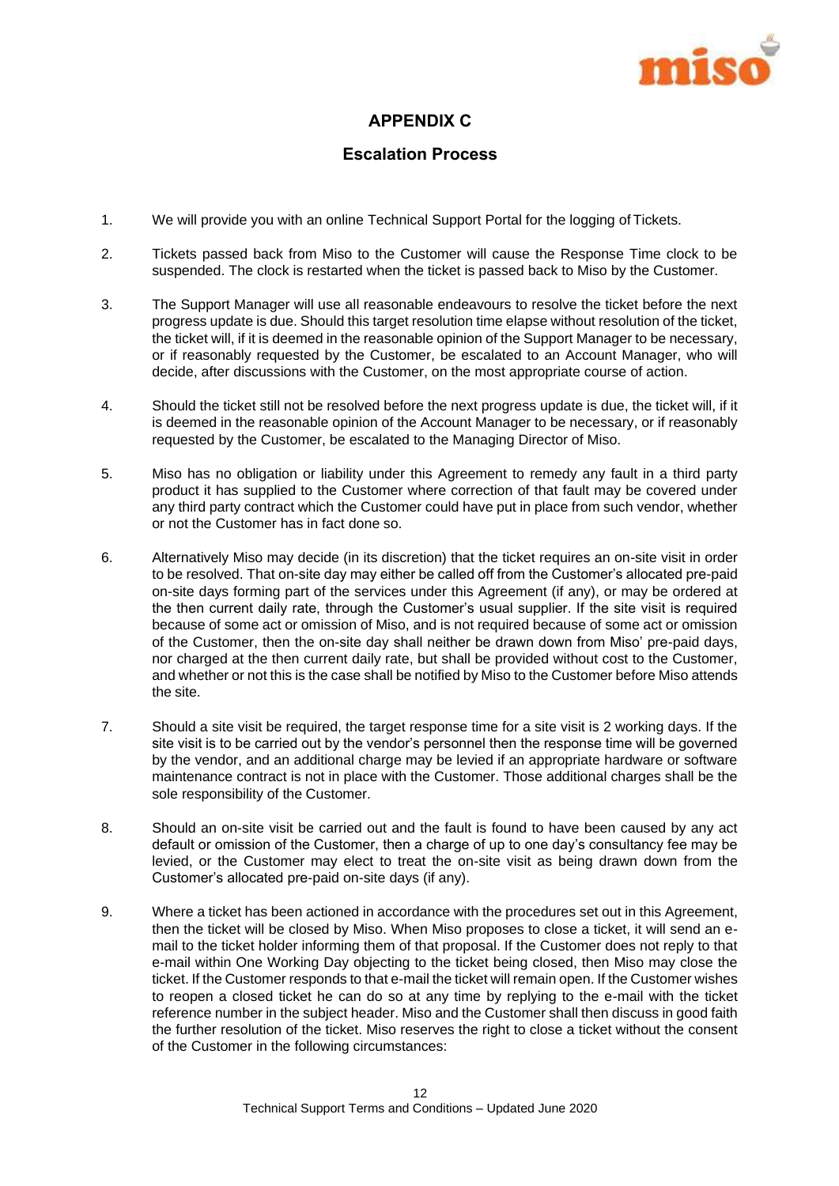

## **APPENDIX C**

## **Escalation Process**

- 1. We will provide you with an online Technical Support Portal for the logging of Tickets.
- 2. Tickets passed back from Miso to the Customer will cause the Response Time clock to be suspended. The clock is restarted when the ticket is passed back to Miso by the Customer.
- 3. The Support Manager will use all reasonable endeavours to resolve the ticket before the next progress update is due. Should this target resolution time elapse without resolution of the ticket, the ticket will, if it is deemed in the reasonable opinion of the Support Manager to be necessary, or if reasonably requested by the Customer, be escalated to an Account Manager, who will decide, after discussions with the Customer, on the most appropriate course of action.
- 4. Should the ticket still not be resolved before the next progress update is due, the ticket will, if it is deemed in the reasonable opinion of the Account Manager to be necessary, or if reasonably requested by the Customer, be escalated to the Managing Director of Miso.
- 5. Miso has no obligation or liability under this Agreement to remedy any fault in a third party product it has supplied to the Customer where correction of that fault may be covered under any third party contract which the Customer could have put in place from such vendor, whether or not the Customer has in fact done so.
- 6. Alternatively Miso may decide (in its discretion) that the ticket requires an on-site visit in order to be resolved. That on-site day may either be called off from the Customer's allocated pre-paid on-site days forming part of the services under this Agreement (if any), or may be ordered at the then current daily rate, through the Customer's usual supplier. If the site visit is required because of some act or omission of Miso, and is not required because of some act or omission of the Customer, then the on-site day shall neither be drawn down from Miso' pre-paid days, nor charged at the then current daily rate, but shall be provided without cost to the Customer, and whether or not this is the case shall be notified by Miso to the Customer before Miso attends the site.
- 7. Should a site visit be required, the target response time for a site visit is 2 working days. If the site visit is to be carried out by the vendor's personnel then the response time will be governed by the vendor, and an additional charge may be levied if an appropriate hardware or software maintenance contract is not in place with the Customer. Those additional charges shall be the sole responsibility of the Customer.
- 8. Should an on-site visit be carried out and the fault is found to have been caused by any act default or omission of the Customer, then a charge of up to one day's consultancy fee may be levied, or the Customer may elect to treat the on-site visit as being drawn down from the Customer's allocated pre-paid on-site days (if any).
- 9. Where a ticket has been actioned in accordance with the procedures set out in this Agreement, then the ticket will be closed by Miso. When Miso proposes to close a ticket, it will send an email to the ticket holder informing them of that proposal. If the Customer does not reply to that e-mail within One Working Day objecting to the ticket being closed, then Miso may close the ticket. If the Customer responds to that e-mail the ticket will remain open. If the Customer wishes to reopen a closed ticket he can do so at any time by replying to the e-mail with the ticket reference number in the subject header. Miso and the Customer shall then discuss in good faith the further resolution of the ticket. Miso reserves the right to close a ticket without the consent of the Customer in the following circumstances: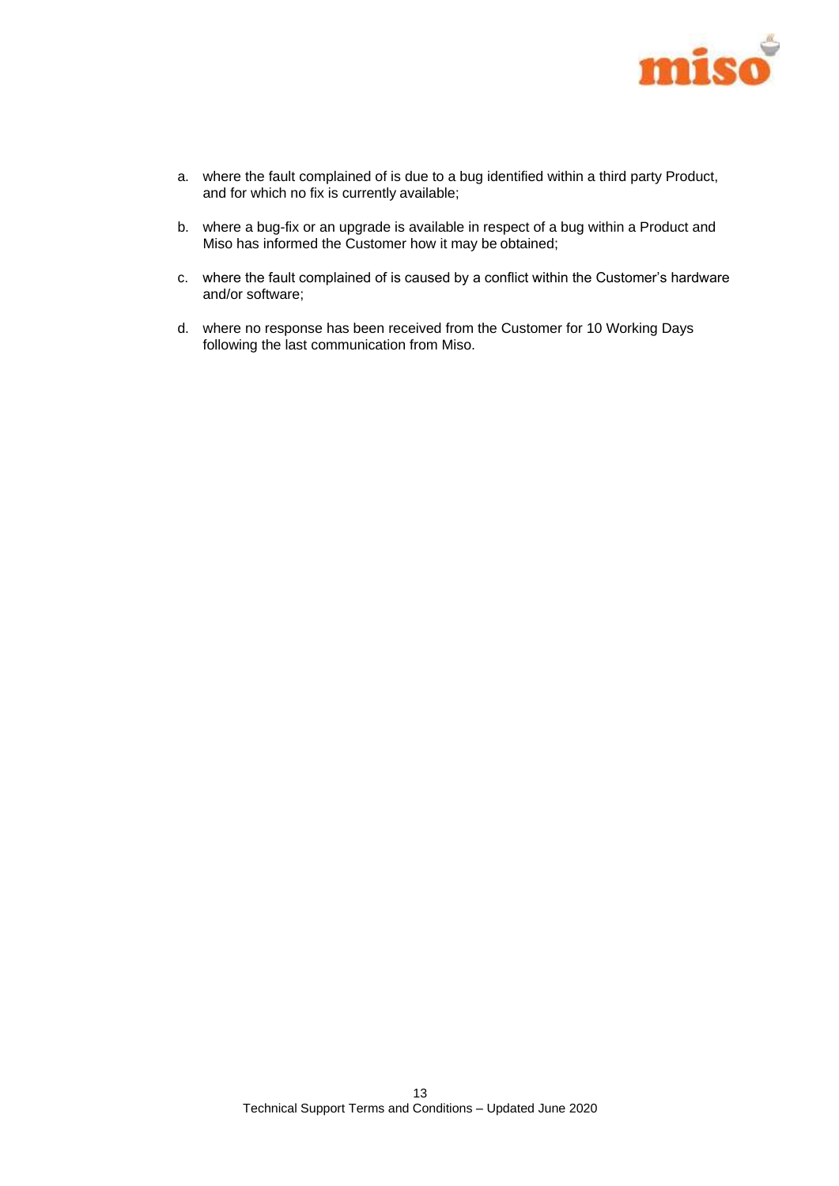

- a. where the fault complained of is due to a bug identified within a third party Product, and for which no fix is currently available;
- b. where a bug-fix or an upgrade is available in respect of a bug within a Product and Miso has informed the Customer how it may be obtained;
- c. where the fault complained of is caused by a conflict within the Customer's hardware and/or software;
- d. where no response has been received from the Customer for 10 Working Days following the last communication from Miso.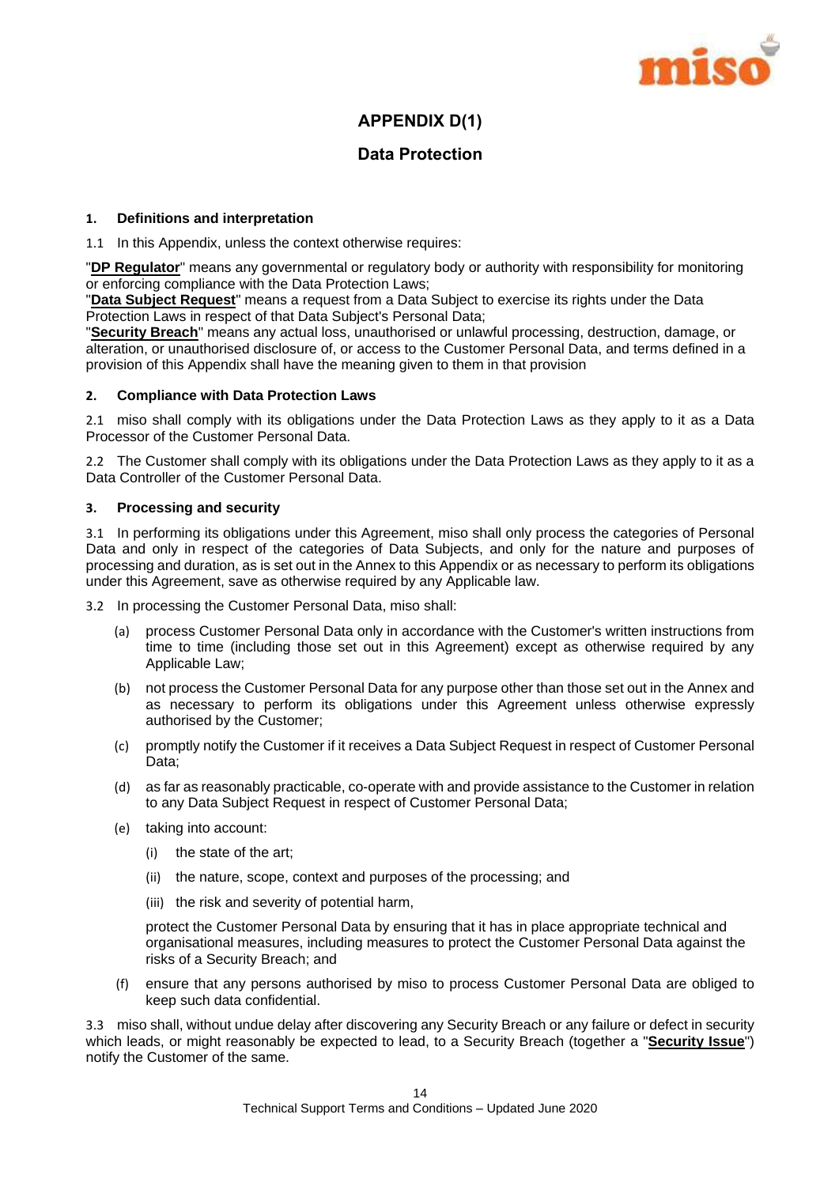

## **APPENDIX D(1)**

## **Data Protection**

#### **1. Definitions and interpretation**

1.1 In this Appendix, unless the context otherwise requires:

"**DP Regulator**" means any governmental or regulatory body or authority with responsibility for monitoring or enforcing compliance with the Data Protection Laws;

"**Data Subject Request**" means a request from a Data Subject to exercise its rights under the Data Protection Laws in respect of that Data Subject's Personal Data;

"**Security Breach**" means any actual loss, unauthorised or unlawful processing, destruction, damage, or alteration, or unauthorised disclosure of, or access to the Customer Personal Data, and terms defined in a provision of this Appendix shall have the meaning given to them in that provision

#### **2. Compliance with Data Protection Laws**

2.1 miso shall comply with its obligations under the Data Protection Laws as they apply to it as a Data Processor of the Customer Personal Data.

2.2 The Customer shall comply with its obligations under the Data Protection Laws as they apply to it as a Data Controller of the Customer Personal Data.

## **3. Processing and security**

3.1 In performing its obligations under this Agreement, miso shall only process the categories of Personal Data and only in respect of the categories of Data Subjects, and only for the nature and purposes of processing and duration, as is set out in the Annex to this Appendix or as necessary to perform its obligations under this Agreement, save as otherwise required by any Applicable law.

3.2 In processing the Customer Personal Data, miso shall:

- (a) process Customer Personal Data only in accordance with the Customer's written instructions from time to time (including those set out in this Agreement) except as otherwise required by any Applicable Law;
- (b) not process the Customer Personal Data for any purpose other than those set out in the Annex and as necessary to perform its obligations under this Agreement unless otherwise expressly authorised by the Customer;
- (c) promptly notify the Customer if it receives a Data Subject Request in respect of Customer Personal Data;
- (d) as far as reasonably practicable, co-operate with and provide assistance to the Customer in relation to any Data Subject Request in respect of Customer Personal Data;
- (e) taking into account:
	- (i) the state of the art;
	- (ii) the nature, scope, context and purposes of the processing; and
	- (iii) the risk and severity of potential harm,

protect the Customer Personal Data by ensuring that it has in place appropriate technical and organisational measures, including measures to protect the Customer Personal Data against the risks of a Security Breach; and

(f) ensure that any persons authorised by miso to process Customer Personal Data are obliged to keep such data confidential.

3.3 miso shall, without undue delay after discovering any Security Breach or any failure or defect in security which leads, or might reasonably be expected to lead, to a Security Breach (together a "**Security Issue**") notify the Customer of the same.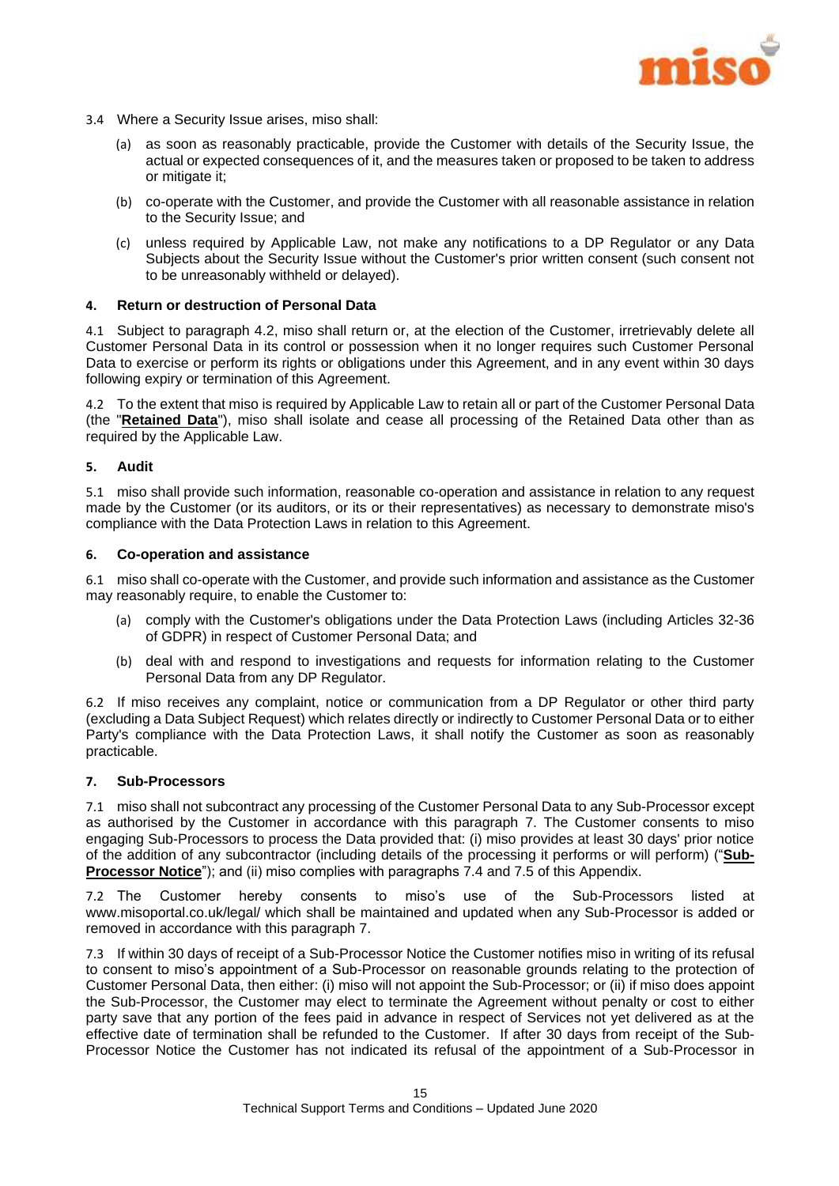

- 3.4 Where a Security Issue arises, miso shall:
	- (a) as soon as reasonably practicable, provide the Customer with details of the Security Issue, the actual or expected consequences of it, and the measures taken or proposed to be taken to address or mitigate it;
	- (b) co-operate with the Customer, and provide the Customer with all reasonable assistance in relation to the Security Issue; and
	- (c) unless required by Applicable Law, not make any notifications to a DP Regulator or any Data Subjects about the Security Issue without the Customer's prior written consent (such consent not to be unreasonably withheld or delayed).

#### **4. Return or destruction of Personal Data**

4.1 Subject to paragraph [4.2,](#page-15-0) miso shall return or, at the election of the Customer, irretrievably delete all Customer Personal Data in its control or possession when it no longer requires such Customer Personal Data to exercise or perform its rights or obligations under this Agreement, and in any event within 30 days following expiry or termination of this Agreement.

<span id="page-15-0"></span>4.2 To the extent that miso is required by Applicable Law to retain all or part of the Customer Personal Data (the "**Retained Data**"), miso shall isolate and cease all processing of the Retained Data other than as required by the Applicable Law.

#### **5. Audit**

5.1 miso shall provide such information, reasonable co-operation and assistance in relation to any request made by the Customer (or its auditors, or its or their representatives) as necessary to demonstrate miso's compliance with the Data Protection Laws in relation to this Agreement.

#### **6. Co-operation and assistance**

6.1 miso shall co-operate with the Customer, and provide such information and assistance as the Customer may reasonably require, to enable the Customer to:

- (a) comply with the Customer's obligations under the Data Protection Laws (including Articles 32-36 of GDPR) in respect of Customer Personal Data; and
- (b) deal with and respond to investigations and requests for information relating to the Customer Personal Data from any DP Regulator.

6.2 If miso receives any complaint, notice or communication from a DP Regulator or other third party (excluding a Data Subject Request) which relates directly or indirectly to Customer Personal Data or to either Party's compliance with the Data Protection Laws, it shall notify the Customer as soon as reasonably practicable.

#### <span id="page-15-1"></span>**7. Sub-Processors**

7.1 miso shall not subcontract any processing of the Customer Personal Data to any Sub-Processor except as authorised by the Customer in accordance with this paragraph [7.](#page-15-1) The Customer consents to miso engaging Sub-Processors to process the Data provided that: (i) miso provides at least 30 days' prior notice of the addition of any subcontractor (including details of the processing it performs or will perform) ("**Sub-Processor Notice**"); and (ii) miso complies with paragraphs [7.4](#page-16-0) and [7.5](#page-16-1) of this Appendix.

7.2 The Customer hereby consents to miso's use of the Sub-Processors listed at www.misoportal.co.uk/legal/ which shall be maintained and updated when any Sub-Processor is added or removed in accordance with this paragraph [7.](#page-15-1)

7.3 If within 30 days of receipt of a Sub-Processor Notice the Customer notifies miso in writing of its refusal to consent to miso's appointment of a Sub-Processor on reasonable grounds relating to the protection of Customer Personal Data, then either: (i) miso will not appoint the Sub-Processor; or (ii) if miso does appoint the Sub-Processor, the Customer may elect to terminate the Agreement without penalty or cost to either party save that any portion of the fees paid in advance in respect of Services not yet delivered as at the effective date of termination shall be refunded to the Customer. If after 30 days from receipt of the Sub-Processor Notice the Customer has not indicated its refusal of the appointment of a Sub-Processor in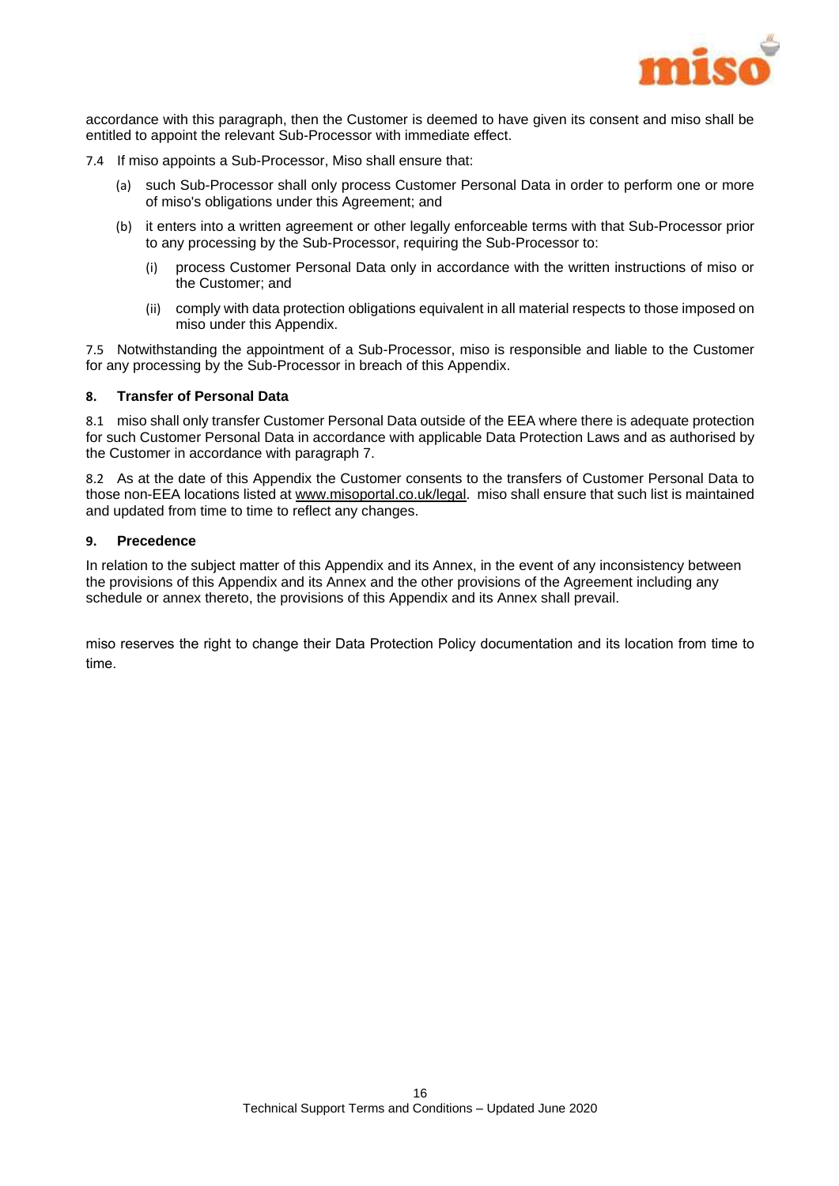

accordance with this paragraph, then the Customer is deemed to have given its consent and miso shall be entitled to appoint the relevant Sub-Processor with immediate effect.

- <span id="page-16-0"></span>7.4 If miso appoints a Sub-Processor, Miso shall ensure that:
	- (a) such Sub-Processor shall only process Customer Personal Data in order to perform one or more of miso's obligations under this Agreement; and
	- (b) it enters into a written agreement or other legally enforceable terms with that Sub-Processor prior to any processing by the Sub-Processor, requiring the Sub-Processor to:
		- (i) process Customer Personal Data only in accordance with the written instructions of miso or the Customer; and
		- (ii) comply with data protection obligations equivalent in all material respects to those imposed on miso under this Appendix.

<span id="page-16-1"></span>7.5 Notwithstanding the appointment of a Sub-Processor, miso is responsible and liable to the Customer for any processing by the Sub-Processor in breach of this Appendix.

## **8. Transfer of Personal Data**

8.1 miso shall only transfer Customer Personal Data outside of the EEA where there is adequate protection for such Customer Personal Data in accordance with applicable Data Protection Laws and as authorised by the Customer in accordance with paragraph 7.

8.2 As at the date of this Appendix the Customer consents to the transfers of Customer Personal Data to those non-EEA locations listed a[t www.misoportal.co.uk/legal.](http://www.misoportal.co.uk/legal) miso shall ensure that such list is maintained and updated from time to time to reflect any changes.

#### **9. Precedence**

In relation to the subject matter of this Appendix and its Annex, in the event of any inconsistency between the provisions of this Appendix and its Annex and the other provisions of the Agreement including any schedule or annex thereto, the provisions of this Appendix and its Annex shall prevail.

miso reserves the right to change their Data Protection Policy documentation and its location from time to time.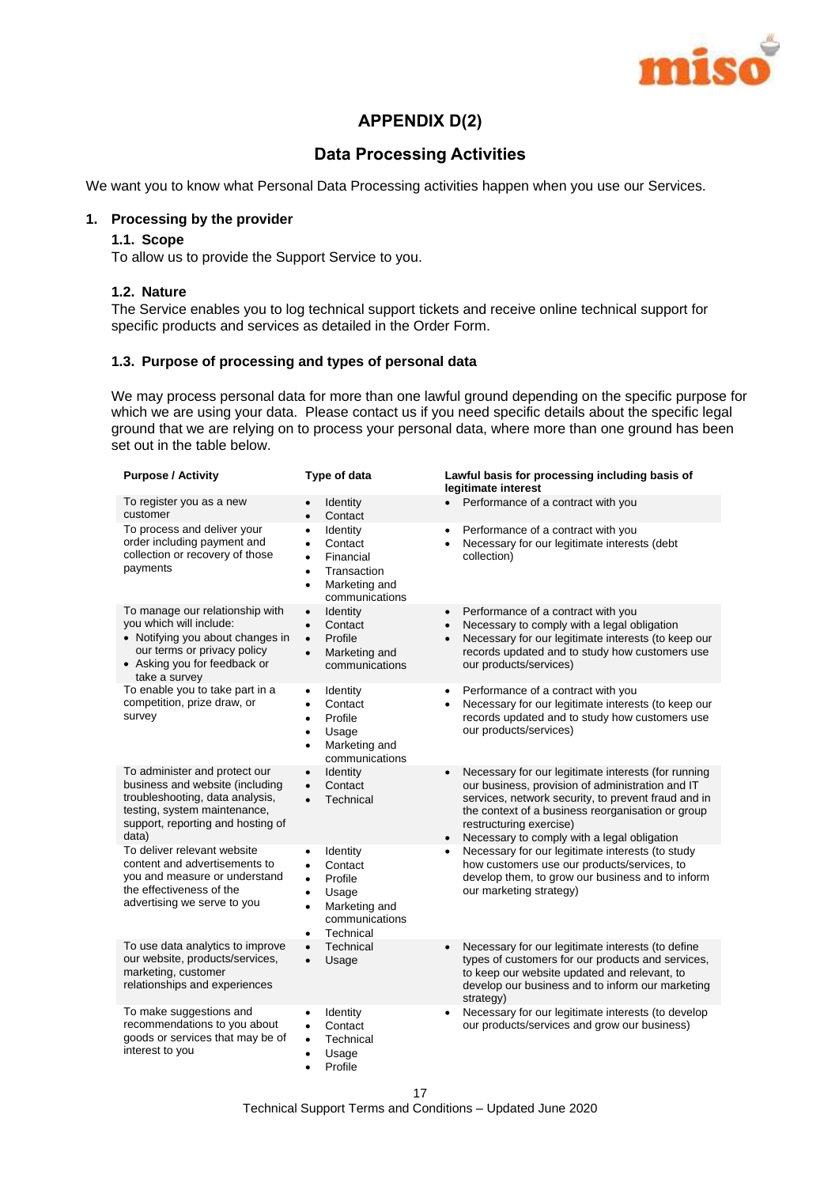

## **APPENDIX D(2)**

## **Data Processing Activities**

We want you to know what Personal Data Processing activities happen when you use our Services.

## **1. Processing by the provider**

## **1.1. Scope**

To allow us to provide the Support Service to you.

## **1.2. Nature**

The Service enables you to log technical support tickets and receive online technical support for specific products and services as detailed in the Order Form.

## **1.3. Purpose of processing and types of personal data**

We may process personal data for more than one lawful ground depending on the specific purpose for which we are using your data. Please contact us if you need specific details about the specific legal ground that we are relying on to process your personal data, where more than one ground has been set out in the table below.

| <b>Purpose / Activity</b>                                                                                                                                                         | Type of data                                                                                                                                                          | Lawful basis for processing including basis of<br>legitimate interest                                                                                                                                                                                                                                                   |
|-----------------------------------------------------------------------------------------------------------------------------------------------------------------------------------|-----------------------------------------------------------------------------------------------------------------------------------------------------------------------|-------------------------------------------------------------------------------------------------------------------------------------------------------------------------------------------------------------------------------------------------------------------------------------------------------------------------|
| To register you as a new<br>customer                                                                                                                                              | <b>Identity</b><br>Contact<br>$\bullet$                                                                                                                               | Performance of a contract with you                                                                                                                                                                                                                                                                                      |
| To process and deliver your<br>order including payment and<br>collection or recovery of those<br>payments                                                                         | Identity<br>$\bullet$<br>Contact<br>$\bullet$<br>Financial<br>$\bullet$<br>Transaction<br>٠<br>Marketing and<br>$\bullet$<br>communications                           | Performance of a contract with you<br>$\bullet$<br>Necessary for our legitimate interests (debt<br>collection)                                                                                                                                                                                                          |
| To manage our relationship with<br>you which will include:<br>• Notifying you about changes in<br>our terms or privacy policy<br>• Asking you for feedback or<br>take a survey    | <b>Identity</b><br>$\bullet$<br>Contact<br>$\bullet$<br>Profile<br>$\bullet$<br>Marketing and<br>$\bullet$<br>communications                                          | Performance of a contract with you<br>$\bullet$<br>Necessary to comply with a legal obligation<br>$\bullet$<br>Necessary for our legitimate interests (to keep our<br>$\bullet$<br>records updated and to study how customers use<br>our products/services)                                                             |
| To enable you to take part in a<br>competition, prize draw, or<br>survey                                                                                                          | Identity<br>$\bullet$<br>Contact<br>$\bullet$<br>Profile<br>$\bullet$<br>Usage<br>$\bullet$<br>Marketing and<br>$\bullet$<br>communications                           | Performance of a contract with you<br>$\bullet$<br>Necessary for our legitimate interests (to keep our<br>$\bullet$<br>records updated and to study how customers use<br>our products/services)                                                                                                                         |
| To administer and protect our<br>business and website (including<br>troubleshooting, data analysis,<br>testing, system maintenance,<br>support, reporting and hosting of<br>data) | Identity<br>$\bullet$<br>Contact<br>$\bullet$<br>Technical                                                                                                            | Necessary for our legitimate interests (for running<br>$\bullet$<br>our business, provision of administration and IT<br>services, network security, to prevent fraud and in<br>the context of a business reorganisation or group<br>restructuring exercise)<br>Necessary to comply with a legal obligation<br>$\bullet$ |
| To deliver relevant website<br>content and advertisements to<br>you and measure or understand<br>the effectiveness of the<br>advertising we serve to you                          | Identity<br>$\bullet$<br>Contact<br>$\bullet$<br>Profile<br>$\bullet$<br>Usage<br>$\bullet$<br>Marketing and<br>$\bullet$<br>communications<br>Technical<br>$\bullet$ | Necessary for our legitimate interests (to study<br>$\bullet$<br>how customers use our products/services, to<br>develop them, to grow our business and to inform<br>our marketing strategy)                                                                                                                             |
| To use data analytics to improve<br>our website, products/services,<br>marketing, customer<br>relationships and experiences                                                       | Technical<br>$\bullet$<br>Usage<br>$\bullet$                                                                                                                          | Necessary for our legitimate interests (to define<br>$\bullet$<br>types of customers for our products and services,<br>to keep our website updated and relevant, to<br>develop our business and to inform our marketing<br>strategy)                                                                                    |
| To make suggestions and<br>recommendations to you about<br>goods or services that may be of<br>interest to you                                                                    | Identity<br>$\bullet$<br>Contact<br>$\bullet$<br>Technical<br>$\bullet$<br>Usage<br>$\bullet$<br>Profile<br>$\bullet$                                                 | Necessary for our legitimate interests (to develop<br>$\bullet$<br>our products/services and grow our business)                                                                                                                                                                                                         |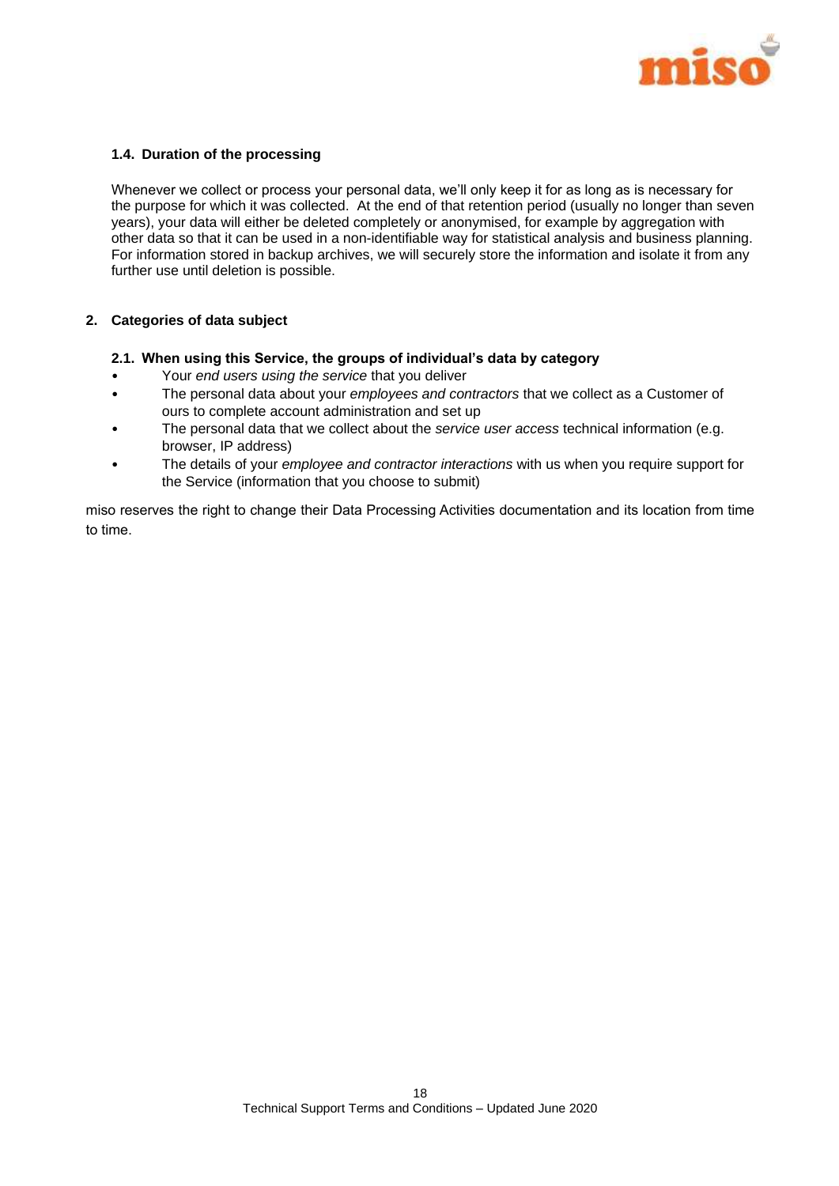

## **1.4. Duration of the processing**

Whenever we collect or process your personal data, we'll only keep it for as long as is necessary for the purpose for which it was collected. At the end of that retention period (usually no longer than seven years), your data will either be deleted completely or anonymised, for example by aggregation with other data so that it can be used in a non-identifiable way for statistical analysis and business planning. For information stored in backup archives, we will securely store the information and isolate it from any further use until deletion is possible.

#### **2. Categories of data subject**

#### **2.1. When using this Service, the groups of individual's data by category**

- Your *end users using the service* that you deliver
- The personal data about your *employees and contractors* that we collect as a Customer of ours to complete account administration and set up
- The personal data that we collect about the *service user access* technical information (e.g. browser, IP address)
- The details of your *employee and contractor interactions* with us when you require support for the Service (information that you choose to submit)

miso reserves the right to change their Data Processing Activities documentation and its location from time to time.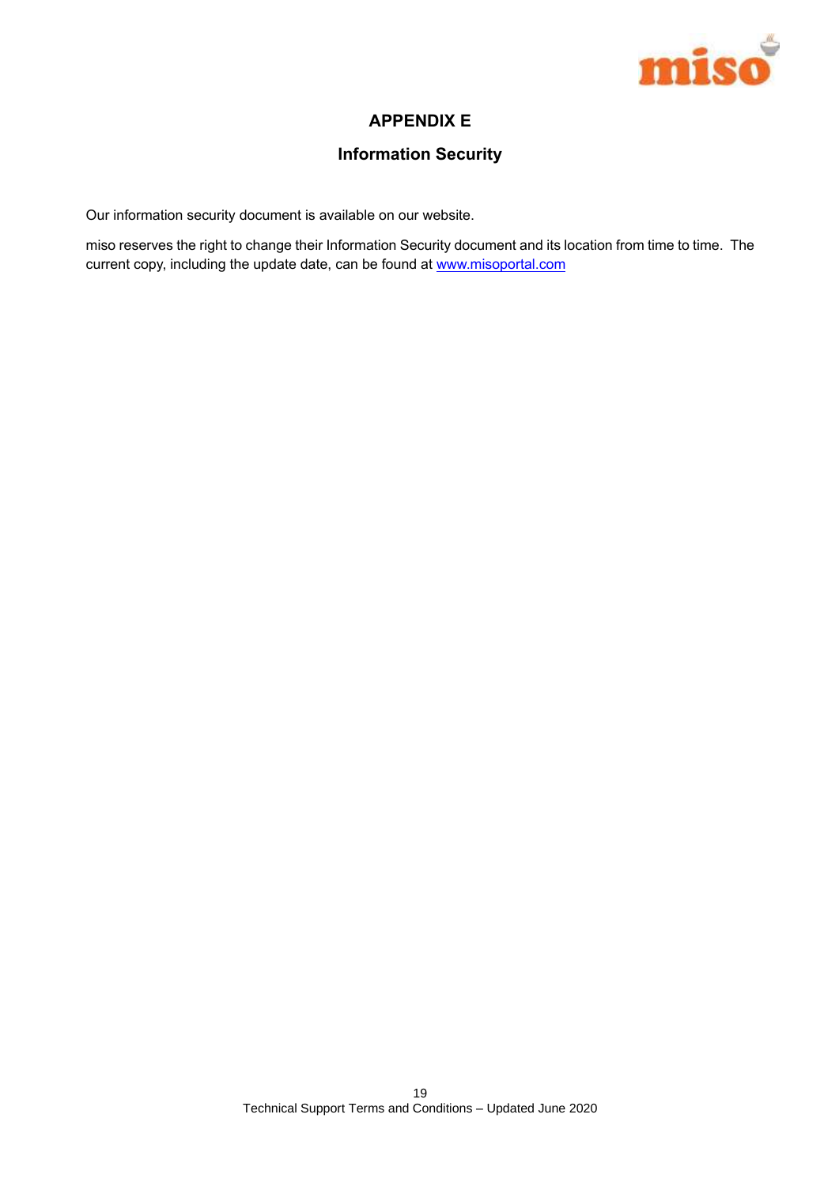

## **APPENDIX E**

## **Information Security**

Our information security document is available on our website.

miso reserves the right to change their Information Security document and its location from time to time. The current copy, including the update date, can be found at www.misoportal.com